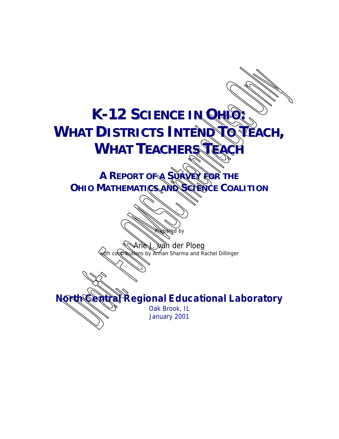# **K-12 SCIIENCE IIN OHIIO: WHAT DIISTRIICTS INTEND TO TEACH, WHAT TEACHERS**

**A REPORT OF A SURVEY FOR THE OHIO MATHEMATICS AND SCIENCE COALITION**

> xan der Ploeg with contributions by Annan Sharma and Rachel Dillinger

**North Central Regional Educational Laboratory**

d by

Oak Brook, IL January 2001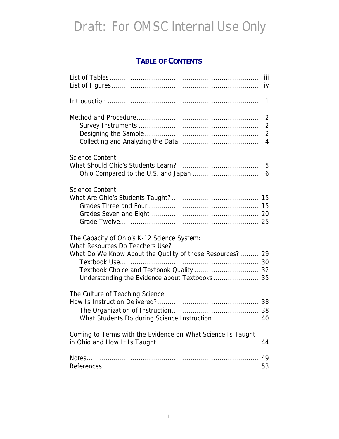#### **TABLE OF CONTENTS**

| <b>Science Content:</b>                                                                                                                                                                                                              |  |
|--------------------------------------------------------------------------------------------------------------------------------------------------------------------------------------------------------------------------------------|--|
| <b>Science Content:</b>                                                                                                                                                                                                              |  |
| The Capacity of Ohio's K-12 Science System:<br>What Resources Do Teachers Use?<br>What Do We Know About the Quality of those Resources?29<br>Textbook Choice and Textbook Quality 32<br>Understanding the Evidence about Textbooks35 |  |
| The Culture of Teaching Science:<br>What Students Do during Science Instruction  40                                                                                                                                                  |  |
| Coming to Terms with the Evidence on What Science Is Taught                                                                                                                                                                          |  |
|                                                                                                                                                                                                                                      |  |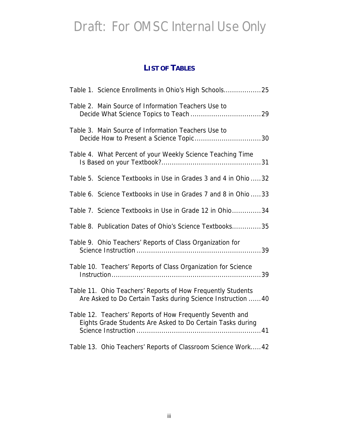#### **LIST OF TABLES**

| Table 1. Science Enrollments in Ohio's High Schools25                                                                       |
|-----------------------------------------------------------------------------------------------------------------------------|
| Table 2. Main Source of Information Teachers Use to                                                                         |
| Table 3. Main Source of Information Teachers Use to                                                                         |
| Table 4. What Percent of your Weekly Science Teaching Time                                                                  |
| Table 5. Science Textbooks in Use in Grades 3 and 4 in Ohio 32                                                              |
| Table 6. Science Textbooks in Use in Grades 7 and 8 in Ohio 33                                                              |
| Table 7. Science Textbooks in Use in Grade 12 in Ohio34                                                                     |
| Table 8. Publication Dates of Ohio's Science Textbooks35                                                                    |
| Table 9. Ohio Teachers' Reports of Class Organization for                                                                   |
| Table 10. Teachers' Reports of Class Organization for Science                                                               |
| Table 11. Ohio Teachers' Reports of How Frequently Students<br>Are Asked to Do Certain Tasks during Science Instruction  40 |
| Table 12. Teachers' Reports of How Frequently Seventh and<br>Eights Grade Students Are Asked to Do Certain Tasks during     |
| Table 13. Ohio Teachers' Reports of Classroom Science Work 42                                                               |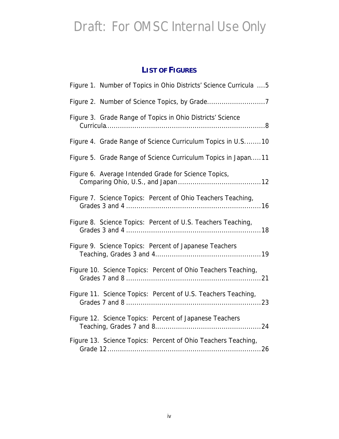#### **LIST OF FIGURES**

| Figure 1. Number of Topics in Ohio Districts' Science Curricula  5 |
|--------------------------------------------------------------------|
|                                                                    |
| Figure 3. Grade Range of Topics in Ohio Districts' Science         |
| Figure 4. Grade Range of Science Curriculum Topics in U.S10        |
| Figure 5. Grade Range of Science Curriculum Topics in Japan11      |
| Figure 6. Average Intended Grade for Science Topics,               |
| Figure 7. Science Topics: Percent of Ohio Teachers Teaching,       |
| Figure 8. Science Topics: Percent of U.S. Teachers Teaching,       |
| Figure 9. Science Topics: Percent of Japanese Teachers             |
| Figure 10. Science Topics: Percent of Ohio Teachers Teaching,      |
| Figure 11. Science Topics: Percent of U.S. Teachers Teaching,      |
| Figure 12. Science Topics: Percent of Japanese Teachers            |
| Figure 13. Science Topics: Percent of Ohio Teachers Teaching,      |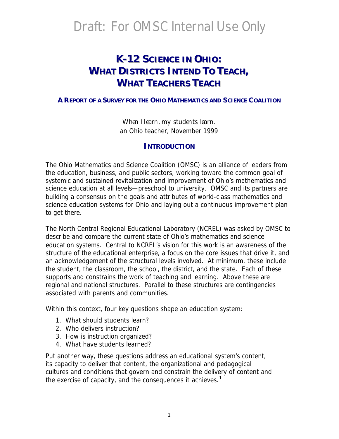#### **K--12 SCIIENCE IIN OHIIO:: WHAT DISTRICTS INTEND TO TEACH, WHAT TEACHERS TEACH**

#### **A REPORT OF A SURVEY FOR THE OHIO MATHEMATICS AND SCIENCE COALITION**

*When I learn, my students learn*. an Ohio teacher, November 1999

#### **INTRODUCTION**

The Ohio Mathematics and Science Coalition (OMSC) is an alliance of leaders from the education, business, and public sectors, working toward the common goal of systemic and sustained revitalization and improvement of Ohio's mathematics and science education at all levels—preschool to university. OMSC and its partners are building a consensus on the goals and attributes of world-class mathematics and science education systems for Ohio and laying out a continuous improvement plan to get there.

The North Central Regional Educational Laboratory (NCREL) was asked by OMSC to describe and compare the current state of Ohio's mathematics and science education systems. Central to NCREL's vision for this work is an awareness of the structure of the educational enterprise, a focus on the core issues that drive it, and an acknowledgement of the structural levels involved. At minimum, these include the student, the classroom, the school, the district, and the state. Each of these supports and constrains the work of teaching and learning. Above these are regional and national structures. Parallel to these structures are contingencies associated with parents and communities.

Within this context, four key questions shape an education system:

- 1. What should students learn?
- 2. Who delivers instruction?
- 3. How is instruction organized?
- 4. What have students learned?

Put another way, these questions address an educational system's *content*, its *capacity* to deliver that content, the organizational and pedagogical *cultures* and *conditions* that govern and constrain the delivery of content and the exercise of capacity, and the *consequences* it achieves.<sup>1</sup>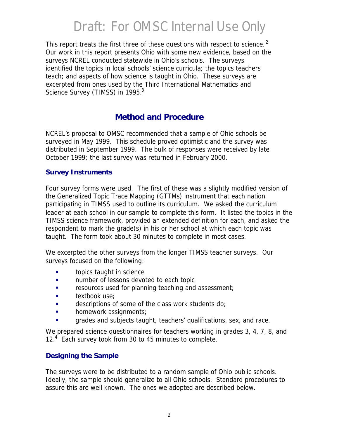This report treats the first three of these questions with respect to science.<sup>2</sup> Our work in this report presents Ohio with some new evidence, based on the surveys NCREL conducted statewide in Ohio's schools. The surveys identified the topics in local schools' science curricula; the topics teachers teach; and aspects of how science is taught in Ohio. These surveys are excerpted from ones used by the Third International Mathematics and Science Survey (TIMSS) in 1995.<sup>3</sup>

#### **Method and Procedure**

NCREL's proposal to OMSC recommended that a sample of Ohio schools be surveyed in May 1999. This schedule proved optimistic and the survey was distributed in September 1999. The bulk of responses were received by late October 1999; the last survey was returned in February 2000.

#### **Survey Instruments**

Four survey forms were used. The first of these was a slightly modified version of the Generalized Topic Trace Mapping (GTTMs) instrument that each nation participating in TIMSS used to outline its curriculum. We asked the curriculum leader at each school in our sample to complete this form. It listed the topics in the TIMSS science framework, provided an extended definition for each, and asked the respondent to mark the grade(s) in his or her school at which each topic was taught. The form took about 30 minutes to complete in most cases.

We excerpted the other surveys from the longer TIMSS teacher surveys. Our surveys focused on the following:

- **s** topics taught in science
- **Example 1** number of lessons devoted to each topic
- **EXECUTE:** resources used for planning teaching and assessment;
- **s** textbook use:
- $\blacksquare$  descriptions of some of the class work students do;
- homework assignments;
- **Example 3** grades and subjects taught, teachers' qualifications, sex, and race.

We prepared science questionnaires for teachers working in grades 3, 4, 7, 8, and 12.<sup>4</sup> Each survey took from 30 to 45 minutes to complete.

#### **Designing the Sample**

The surveys were to be distributed to a random sample of Ohio public schools. Ideally, the sample should generalize to all Ohio schools. Standard procedures to assure this are well known. The ones we adopted are described below.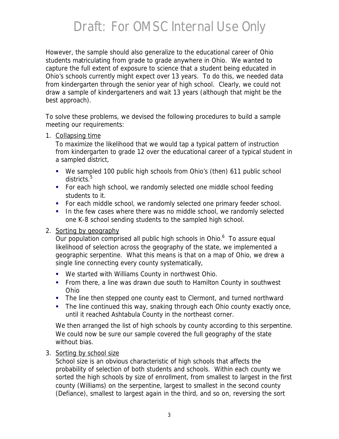However, the sample should also generalize to the educational career of Ohio students matriculating from grade to grade anywhere in Ohio. We wanted to capture the full extent of exposure to science that a student being educated in Ohio's schools currently might expect over 13 years. To do this, we needed data from kindergarten through the senior year of high school. Clearly, we could not draw a sample of kindergarteners and wait 13 years (although that might be the best approach).

To solve these problems, we devised the following procedures to build a sample meeting our requirements:

1. Collapsing time

To maximize the likelihood that we would tap a typical pattern of instruction from kindergarten to grade 12 over the educational career of a typical student in a sampled district,

- We sampled 100 public high schools from Ohio's (then) 611 public school districts.<sup>5</sup>
- For each high school, we randomly selected one middle school feeding students to it.
- **For each middle school, we randomly selected one primary feeder school.**
- **IF In the few cases where there was no middle school, we randomly selected** one K-8 school sending students to the sampled high school.

#### 2. Sorting by geography

Our population comprised all public high schools in Ohio.<sup>6</sup> To assure equal likelihood of selection across the geography of the state, we implemented a geographic serpentine. What this means is that on a map of Ohio, we drew a single line connecting every county systematically,

- **We started with Williams County in northwest Ohio.**
- From there, a line was drawn due south to Hamilton County in southwest Ohio
- The line then stepped one county east to Clermont, and turned northward
- The line continued this way, snaking through each Ohio county exactly once, until it reached Ashtabula County in the northeast corner.

We then arranged the list of high schools by county according to this serpentine. We could now be sure our sample covered the full geography of the state without bias.

#### 3. Sorting by school size

School size is an obvious characteristic of high schools that affects the probability of selection of both students and schools. Within each county we sorted the high schools by size of enrollment, from smallest to largest in the first county (Williams) on the serpentine, largest to smallest in the second county (Defiance), smallest to largest again in the third, and so on, reversing the sort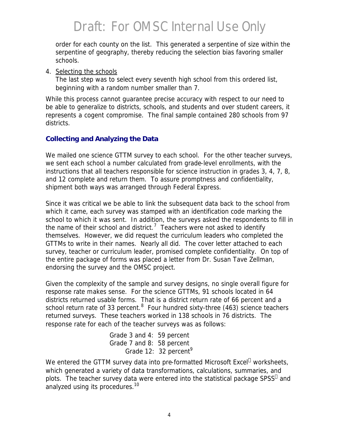order for each county on the list. This generated a serpentine of size within the serpentine of geography, thereby reducing the selection bias favoring smaller schools.

4. Selecting the schools

The last step was to select every seventh high school from this ordered list, beginning with a random number smaller than 7.

While this process cannot guarantee precise accuracy with respect to our need to be able to generalize to districts, schools, and students and over student careers, it represents a cogent compromise. The final sample contained 280 schools from 97 districts.

#### **Collecting and Analyzing the Data**

We mailed one science GTTM survey to each school. For the other teacher surveys, we sent each school a number calculated from grade-level enrollments, with the instructions that all teachers responsible for science instruction in grades 3, 4, 7, 8, and 12 complete and return them. To assure promptness and confidentiality, shipment both ways was arranged through Federal Express.

Since it was critical we be able to link the subsequent data back to the school from which it came, each survey was stamped with an identification code marking the school to which it was sent. In addition, the surveys asked the respondents to fill in the name of their school and district.<sup>7</sup> Teachers were not asked to identify themselves. However, we did request the curriculum leaders who completed the GTTMs to write in their names. Nearly all did. The cover letter attached to each survey, teacher or curriculum leader, promised complete confidentiality. On top of the entire package of forms was placed a letter from Dr. Susan Tave Zellman, endorsing the survey and the OMSC project.

Given the complexity of the sample and survey designs, no single overall figure for response rate makes sense. For the science GTTMs, 91 schools located in 64 districts returned usable forms. That is a district return rate of 66 percent and a school return rate of 33 percent.  $8$  Four hundred sixty-three (463) science teachers returned surveys. These teachers worked in 138 schools in 76 districts. The response rate for each of the teacher surveys was as follows:

> Grade 3 and 4: 59 percent Grade 7 and 8: 58 percent Grade 12: 32 percent<sup>9</sup>

We entered the GTTM survey data into pre-formatted Microsoft Excel<sup>®</sup> worksheets, which generated a variety of data transformations, calculations, summaries, and plots. The teacher survey data were entered into the statistical package SPSS<sup>©</sup> and analyzed using its procedures.<sup>10</sup>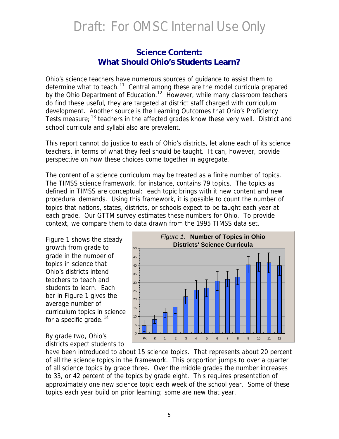#### **Science Content:** *What Should Ohio's Students Learn?*

Ohio's science teachers have numerous sources of guidance to assist them to determine what to teach.<sup>11</sup> Central among these are the model curricula prepared by the Ohio Department of Education.<sup>12</sup> However, while many classroom teachers do find these useful, they are targeted at district staff charged with curriculum development. Another source is the Learning Outcomes that Ohio's Proficiency Tests measure; <sup>13</sup> teachers in the affected grades know these very well. District and school curricula and syllabi also are prevalent.

This report cannot do justice to each of Ohio's districts, let alone each of its science teachers, in terms of what they feel should be taught. It can, however, provide perspective on how these choices come together in aggregate.

The content of a science curriculum may be treated as a finite number of topics. The TIMSS science framework, for instance, contains 79 topics. The topics as defined in TIMSS are conceptual: each topic brings with it new content and new procedural demands. Using this framework, it is possible to count the number of topics that nations, states, districts, or schools expect to be taught each year at each grade. Our GTTM survey estimates these numbers for Ohio. To provide context, we compare them to data drawn from the 1995 TIMSS data set.

Figure 1 shows the steady growth from grade to grade in the number of topics in science that Ohio's districts intend teachers to teach and students to learn. Each bar in Figure 1 gives the average number of curriculum topics in science for a specific grade.<sup>14</sup>

By grade two, Ohio's districts expect students to



have been introduced to about 15 science topics. That represents about 20 percent of all the science topics in the framework. This proportion jumps to over a quarter of all science topics by grade three. Over the middle grades the number increases to 33, or 42 percent of the topics by grade eight. This requires presentation of approximately one new science topic each week of the school year. Some of these topics each year build on prior learning; some are new that year.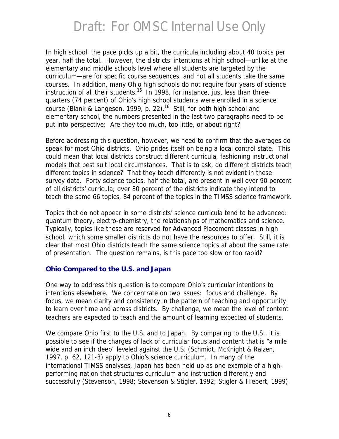In high school, the pace picks up a bit, the curricula including about 40 topics per year, half the total. However, the districts' intentions at high school—unlike at the elementary and middle schools level where all students are targeted by the curriculum—are for specific course sequences, and not all students take the same courses. In addition, many Ohio high schools do not require four years of science instruction of all their students.<sup>15</sup> In 1998, for instance, just less than threequarters (74 percent) of Ohio's high school students were enrolled in a science course (Blank & Langesen, 1999, p. 22).<sup>16</sup> Still, for both high school and elementary school, the numbers presented in the last two paragraphs need to be put into perspective: Are they too much, too little, or about right?

Before addressing this question, however, we need to confirm that the averages do speak for most Ohio districts. Ohio prides itself on being a local control state. This could mean that local districts construct different curricula, fashioning instructional models that best suit local circumstances. That is to ask, do different districts teach different topics in science? That they teach differently is not evident in these survey data. Forty science topics, half the total, are present in well over 90 percent of all districts' curricula; over 80 percent of the districts indicate they intend to teach the same 66 topics, 84 percent of the topics in the TIMSS science framework.

Topics that do not appear in some districts' science curricula tend to be advanced: quantum theory, electro-chemistry, the relationships of mathematics and science. Typically, topics like these are reserved for Advanced Placement classes in high school, which some smaller districts do not have the resources to offer. Still, it is clear that most Ohio districts teach the same science topics at about the same rate of presentation. The question remains, is this pace too slow or too rapid?

#### **Ohio Compared to the U.S. and Japan**

One way to address this question is to compare Ohio's curricular intentions to intentions elsewhere. We concentrate on two issues: focus and challenge. By focus, we mean clarity and consistency in the pattern of teaching and opportunity to learn over time and across districts. By challenge, we mean the level of content teachers are expected to teach and the amount of learning expected of students.

We compare Ohio first to the U.S. and to Japan. By comparing to the U.S., it is possible to see if the charges of lack of curricular focus and content that is "a mile wide and an inch deep" leveled against the U.S. (Schmidt, McKnight & Raizen, 1997, p. 62, 121-3) apply to Ohio's science curriculum. In many of the international TIMSS analyses, Japan has been held up as one example of a highperforming nation that structures curriculum and instruction differently and successfully (Stevenson, 1998; Stevenson & Stigler, 1992; Stigler & Hiebert, 1999).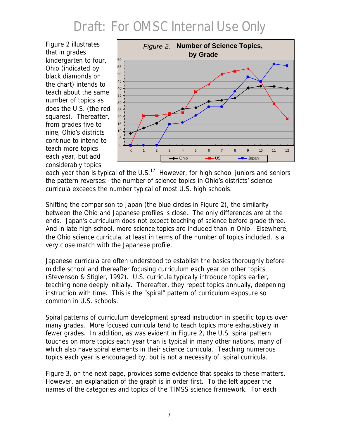Figure 2 illustrates that in grades kindergarten to four, Ohio (indicated by black diamonds on the chart) intends to teach about the same number of topics as does the U.S. (the red squares). Thereafter, from grades five to nine, Ohio's districts continue to intend to teach more topics each year, but add considerably topics



each year than is typical of the U.S.<sup>17</sup> However, for high school juniors and seniors the pattern reverses: the number of science topics in Ohio's districts' science curricula exceeds the number typical of most U.S. high schools.

Shifting the comparison to Japan (the blue circles in Figure 2), the similarity between the Ohio and Japanese profiles is close. The only differences are at the ends. Japan's curriculum does not expect teaching of science before grade three. And in late high school, more science topics are included than in Ohio. Elsewhere, the Ohio science curricula, at least in terms of the number of topics included, is a very close match with the Japanese profile.

Japanese curricula are often understood to establish the basics thoroughly before middle school and thereafter focusing curriculum each year on other topics (Stevenson & Stigler, 1992). U.S. curricula typically introduce topics earlier, teaching none deeply initially. Thereafter, they repeat topics annually, deepening instruction with time. This is the "spiral" pattern of curriculum exposure so common in U.S. schools.

Spiral patterns of curriculum development spread instruction in specific topics over many grades. More focused curricula tend to teach topics more exhaustively in fewer grades. In addition, as was evident in Figure 2, the U.S. spiral pattern touches on more topics each year than is typical in many other nations, many of which also have spiral elements in their science curricula. Teaching numerous topics each year is encouraged by, but is not a necessity of, spiral curricula.

Figure 3, on the next page, provides some evidence that speaks to these matters. However, an explanation of the graph is in order first. To the left appear the names of the categories and topics of the TIMSS science framework. For each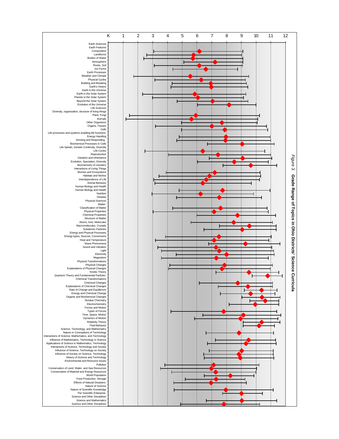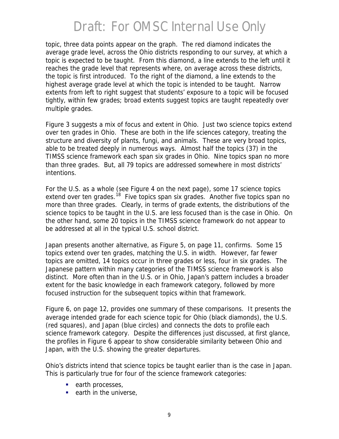topic, three data points appear on the graph. The red diamond indicates the average grade level, across the Ohio districts responding to our survey, at which a topic is expected to be taught. From this diamond, a line extends to the left until it reaches the grade level that represents where, on average across these districts, the topic is first introduced. To the right of the diamond, a line extends to the highest average grade level at which the topic is intended to be taught. Narrow extents from left to right suggest that students' exposure to a topic will be focused tightly, within few grades; broad extents suggest topics are taught repeatedly over multiple grades.

Figure 3 suggests a mix of focus and extent in Ohio. Just two science topics extend over ten grades in Ohio. These are both in the life sciences category, treating the structure and diversity of plants, fungi, and animals. These are very broad topics, able to be treated deeply in numerous ways. Almost half the topics (37) in the TIMSS science framework each span six grades in Ohio. Nine topics span no more than three grades. But, all 79 topics are addressed somewhere in most districts' intentions.

For the U.S. as a whole (see Figure 4 on the next page), some 17 science topics extend over ten grades.<sup>18</sup> Five topics span six grades. Another five topics span no more than three grades. Clearly, in terms of grade extents, the distributions of the science topics to be taught in the U.S. are less focused than is the case in Ohio. On the other hand, some 20 topics in the TIMSS science framework do not appear to be addressed at all in the typical U.S. school district.

Japan presents another alternative, as Figure 5, on page 11, confirms. Some 15 topics extend over ten grades, matching the U.S. in width. However, far fewer topics are omitted, 14 topics occur in three grades or less, four in six grades. The Japanese pattern within many categories of the TIMSS science framework is also distinct. More often than in the U.S. or in Ohio, Japan's pattern includes a broader extent for the basic knowledge in each framework category, followed by more focused instruction for the subsequent topics within that framework.

Figure 6, on page 12, provides one summary of these comparisons. It presents the average intended grade for each science topic for Ohio (black diamonds), the U.S. (red squares), and Japan (blue circles) and connects the dots to profile each science framework category. Despite the differences just discussed, at first glance, the profiles in Figure 6 appear to show considerable similarity between Ohio and Japan, with the U.S. showing the greater departures.

Ohio's districts intend that science topics be taught earlier than is the case in Japan. This is particularly true for four of the science framework categories:

- $\blacksquare$  earth processes,
- $\blacksquare$  earth in the universe,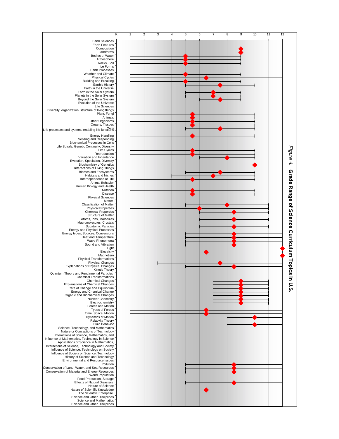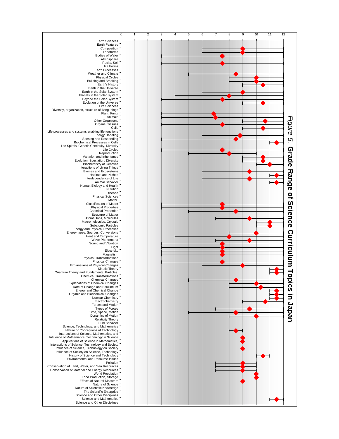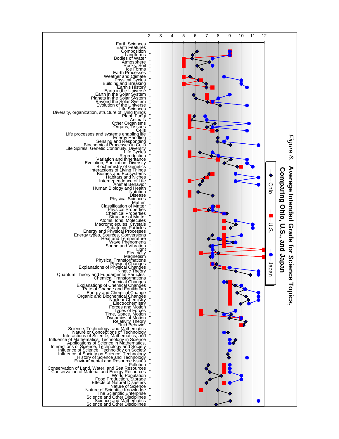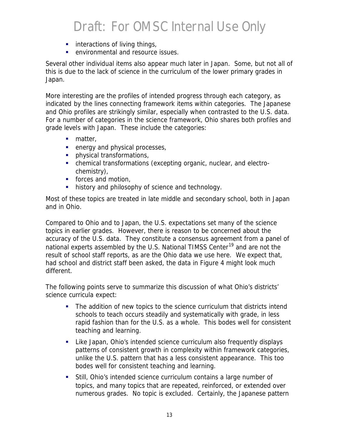- **EXECUTE:** interactions of living things,
- **•** environmental and resource issues.

Several other individual items also appear much later in Japan. Some, but not all of this is due to the lack of science in the curriculum of the lower primary grades in Japan.

More interesting are the profiles of intended progress through each category, as indicated by the lines connecting framework items within categories. The Japanese and Ohio profiles are strikingly similar, especially when contrasted to the U.S. data. For a number of categories in the science framework, Ohio shares both profiles and grade levels with Japan. These include the categories:

- $\blacksquare$  matter,
- $\blacksquare$  energy and physical processes,
- **•** physical transformations,
- chemical transformations (excepting organic, nuclear, and electrochemistry),
- **forces and motion,**
- **history and philosophy of science and technology.**

Most of these topics are treated in late middle and secondary school, both in Japan and in Ohio.

Compared to Ohio and to Japan, the U.S. expectations set many of the science topics in earlier grades. However, there is reason to be concerned about the accuracy of the U.S. data. They constitute a consensus agreement from a panel of national experts assembled by the U.S. National TIMSS Center<sup>19</sup> and are not the result of school staff reports, as are the Ohio data we use here. We expect that, had school and district staff been asked, the data in Figure 4 might look much different.

The following points serve to summarize this discussion of what Ohio's districts' science curricula expect:

- The addition of new topics to the science curriculum that districts intend schools to teach occurs steadily and systematically with grade, in less rapid fashion than for the U.S. as a whole. This bodes well for consistent teaching and learning.
- Like Japan, Ohio's intended science curriculum also frequently displays patterns of consistent growth in complexity within framework categories, unlike the U.S. pattern that has a less consistent appearance. This too bodes well for consistent teaching and learning.
- ß Still, Ohio's intended science curriculum contains a large number of topics, and many topics that are repeated, reinforced, or extended over numerous grades. No topic is excluded. Certainly, the Japanese pattern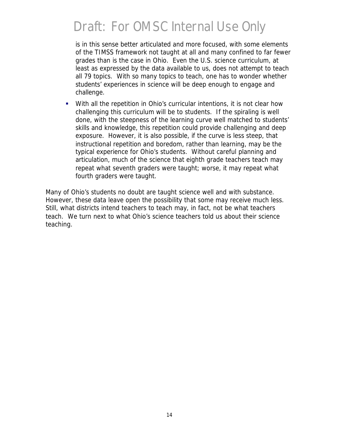is in this sense better articulated and more focused, with some elements of the TIMSS framework not taught at all and many confined to far fewer grades than is the case in Ohio. Even the U.S. science curriculum, at least as expressed by the data available to us, does not attempt to teach all 79 topics. With so many topics to teach, one has to wonder whether students' experiences in science will be deep enough to engage and challenge.

• With all the repetition in Ohio's curricular intentions, it is not clear how challenging this curriculum will be to students. If the spiraling is well done, with the steepness of the learning curve well matched to students' skills and knowledge, this repetition could provide challenging and deep exposure. However, it is also possible, if the curve is less steep, that instructional repetition and boredom, rather than learning, may be the typical experience for Ohio's students. Without careful planning and articulation, much of the science that eighth grade teachers teach may repeat what seventh graders were taught; worse, it may repeat what fourth graders were taught.

Many of Ohio's students no doubt are taught science well and with substance. However, these data leave open the possibility that some may receive much less. Still, what districts intend teachers to teach may, in fact, not be what teachers teach. We turn next to what Ohio's science teachers told us about their science teaching.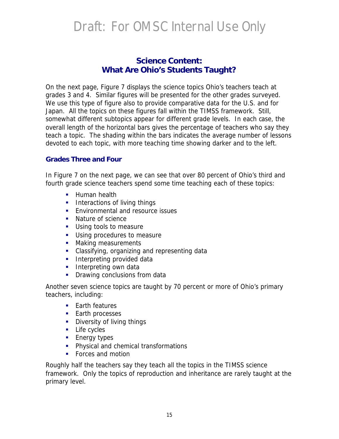#### **Science Content:** *What Are Ohio's Students Taught?*

On the next page, Figure 7 displays the science topics Ohio's teachers teach at grades 3 and 4. Similar figures will be presented for the other grades surveyed. We use this type of figure also to provide comparative data for the U.S. and for Japan. All the topics on these figures fall within the TIMSS framework. Still, somewhat different subtopics appear for different grade levels. In each case, the overall length of the horizontal bars gives the percentage of teachers who say they teach a topic. The shading within the bars indicates the average number of lessons devoted to each topic, with more teaching time showing darker and to the left.

#### **Grades Three and Four**

In Figure 7 on the next page, we can see that over 80 percent of Ohio's third and fourth grade science teachers spend some time teaching each of these topics:

- **Human health**
- **Interactions of living things**
- **Environmental and resource issues**
- Nature of science
- **Using tools to measure**
- **Using procedures to measure**
- Making measurements
- **EXEC** Classifying, organizing and representing data
- **Interpreting provided data**
- **Interpreting own data**
- Drawing conclusions from data

Another seven science topics are taught by 70 percent or more of Ohio's primary teachers, including:

- **Farth features**
- **Earth processes**
- **•** Diversity of living things
- **Life cycles**
- **Energy types**
- **•** Physical and chemical transformations
- **Forces and motion**

Roughly half the teachers say they teach all the topics in the TIMSS science framework. Only the topics of reproduction and inheritance are rarely taught at the primary level.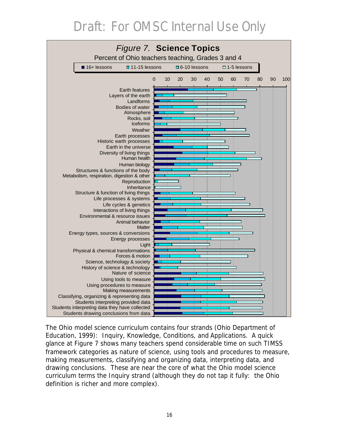

The Ohio model science curriculum contains four strands (Ohio Department of Education, 1999): Inquiry, Knowledge, Conditions, and Applications. A quick glance at Figure 7 shows many teachers spend considerable time on such TIMSS framework categories as nature of science, using tools and procedures to measure, making measurements, classifying and organizing data, interpreting data, and drawing conclusions. These are near the core of what the Ohio model science curriculum terms the Inquiry strand (although they do not tap it fully: the Ohio definition is richer and more complex).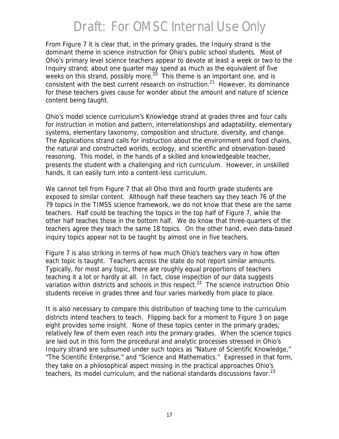From Figure 7 it is clear that, in the primary grades, the Inquiry strand is the dominant theme in science instruction for Ohio's public school students. Most of Ohio's primary level science teachers appear to devote at least a week or two to the Inquiry strand; about one quarter may spend as much as the equivalent of five weeks on this strand, possibly more.<sup>20</sup> This theme is an important one, and is consistent with the best current research on instruction.<sup>21</sup> However, its dominance for these teachers gives cause for wonder about the amount and nature of science content being taught.

Ohio's model science curriculum's Knowledge strand at grades three and four calls for instruction in motion and pattern, interrelationships and adaptability, elementary systems, elementary taxonomy, composition and structure, diversity, and change. The Applications strand calls for instruction about the environment and food chains, the natural and constructed worlds, ecology, and scientific and observation-based reasoning. This model, in the hands of a skilled and knowledgeable teacher, presents the student with a challenging and rich curriculum. However, in unskilled hands, it can easily turn into a content-less curriculum.

We cannot tell from Figure 7 that all Ohio third and fourth grade students are exposed to similar content. Although half these teachers say they teach 76 of the 79 topics in the TIMSS science framework, we do not know that these are the same teachers. Half could be teaching the topics in the top half of Figure 7, while the other half teaches those in the bottom half. We do know that three-quarters of the teachers agree they teach the same 18 topics. On the other hand, even data-based inquiry topics appear not to be taught by almost one in five teachers.

Figure 7 is also striking in terms of how much Ohio's teachers vary in how often each topic is taught. Teachers across the state do not report similar amounts. Typically, for most any topic, there are roughly equal proportions of teachers teaching it a lot or hardly at all. In fact, close inspection of our data suggests variation within districts and schools in this respect.<sup>22</sup> The science instruction Ohio students receive in grades three and four varies markedly from place to place.

It is also necessary to compare this distribution of teaching time to the curriculum districts intend teachers to teach. Flipping back for a moment to Figure 3 on page eight provides some insight. None of these topics center in the primary grades; relatively few of them even reach into the primary grades. When the science topics are laid out in this form the procedural and analytic processes stressed in Ohio's Inquiry strand are subsumed under such topics as "Nature of Scientific Knowledge," "The Scientific Enterprise," and "Science and Mathematics." Expressed in that form, they take on a philosophical aspect missing in the practical approaches Ohio's teachers, its model curriculum, and the national standards discussions favor.<sup>23</sup>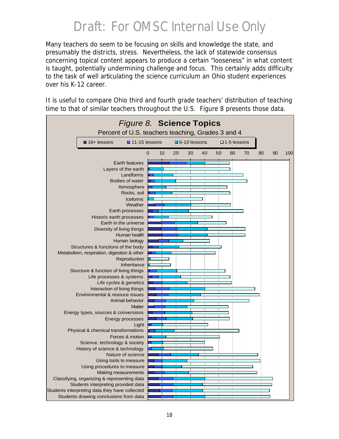Many teachers do seem to be focusing on skills and knowledge the state, and presumably the districts, stress. Nevertheless, the lack of statewide consensus concerning topical content appears to produce a certain "looseness" in what content is taught, potentially undermining challenge and focus. This certainly adds difficulty to the task of well articulating the science curriculum an Ohio student experiences over his K-12 career.

It is useful to compare Ohio third and fourth grade teachers' distribution of teaching time to that of similar teachers throughout the U.S. Figure 8 presents those data.

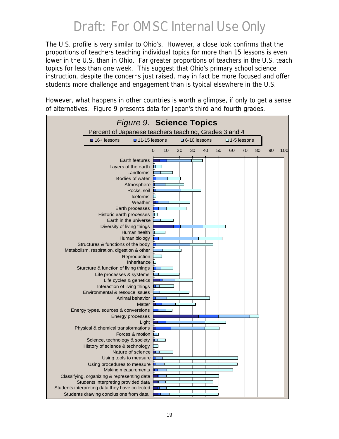The U.S. profile is very similar to Ohio's. However, a close look confirms that the proportions of teachers teaching individual topics for more than 15 lessons is even lower in the U.S. than in Ohio. Far greater proportions of teachers in the U.S. teach topics for less than one week. This suggest that Ohio's primary school science instruction, despite the concerns just raised, may in fact be more focused and offer students more challenge and engagement than is typical elsewhere in the U.S.

However, what happens in other countries is worth a glimpse, if only to get a sense of alternatives. Figure 9 presents data for Japan's third and fourth grades.

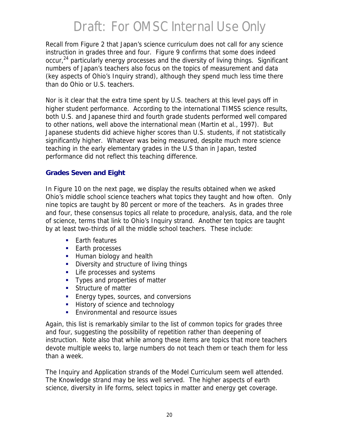Recall from Figure 2 that Japan's science curriculum does not call for any science instruction in grades three and four. Figure 9 confirms that some does indeed occur,<sup>24</sup> particularly energy processes and the diversity of living things. Significant numbers of Japan's teachers also focus on the topics of measurement and data (key aspects of Ohio's Inquiry strand), although they spend much less time there than do Ohio or U.S. teachers.

Nor is it clear that the extra time spent by U.S. teachers at this level pays off in higher student performance. According to the international TIMSS science results, both U.S. and Japanese third and fourth grade students performed well compared to other nations, well above the international mean (Martin et al., 1997). But Japanese students did achieve higher scores than U.S. students, if not statistically significantly higher. Whatever was being measured, despite much more science teaching in the early elementary grades in the U.S than in Japan, tested performance did not reflect this teaching difference.

#### **Grades Seven and Eight**

In Figure 10 on the next page, we display the results obtained when we asked Ohio's middle school science teachers what topics they taught and how often. Only nine topics are taught by 80 percent or more of the teachers. As in grades three and four, these consensus topics all relate to procedure, analysis, data, and the role of science, terms that link to Ohio's Inquiry strand. Another ten topics are taught by at least two-thirds of all the middle school teachers. These include:

- **Earth features**
- **Earth processes**
- **Human biology and health**
- **•** Diversity and structure of living things
- **EXECUTE:** Life processes and systems
- Types and properties of matter
- **Structure of matter**
- **Energy types, sources, and conversions**
- **History of science and technology**
- **Environmental and resource issues**

Again, this list is remarkably similar to the list of common topics for grades three and four, suggesting the possibility of repetition rather than deepening of instruction. Note also that while among these items are topics that more teachers devote multiple weeks to, large numbers do not teach them or teach them for less than a week.

The Inquiry and Application strands of the Model Curriculum seem well attended. The Knowledge strand may be less well served. The higher aspects of earth science, diversity in life forms, select topics in matter and energy get coverage.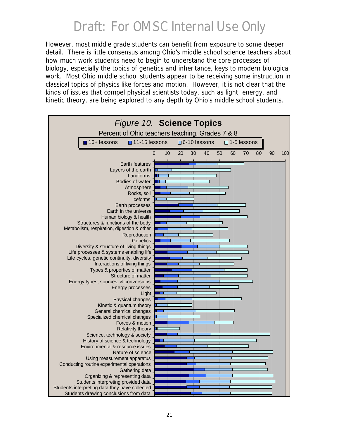However, most middle grade students can benefit from exposure to some deeper detail. There is little consensus among Ohio's middle school science teachers about how much work students need to begin to understand the core processes of biology, especially the topics of genetics and inheritance, keys to modern biological work. Most Ohio middle school students appear to be receiving some instruction in classical topics of physics like forces and motion. However, it is not clear that the kinds of issues that compel physical scientists today, such as light, energy, and kinetic theory, are being explored to any depth by Ohio's middle school students.

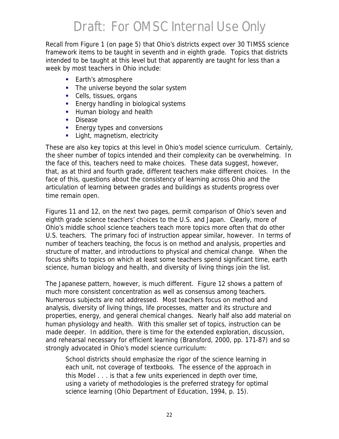Recall from Figure 1 (on page 5) that Ohio's districts expect over 30 TIMSS science framework items to be taught in seventh and in eighth grade. Topics that districts intended to be taught at this level but that apparently are taught for less than a week by most teachers in Ohio include:

- **Earth's atmosphere**
- The universe beyond the solar system
- Cells, tissues, organs
- **Energy handling in biological systems**
- **Human biology and health**
- **Disease**
- **Energy types and conversions**
- **EXECT** Light, magnetism, electricity

These are also key topics at this level in Ohio's model science curriculum. Certainly, the sheer number of topics intended and their complexity can be overwhelming. In the face of this, teachers need to make choices. These data suggest, however, that, as at third and fourth grade, different teachers make different choices. In the face of this, questions about the consistency of learning across Ohio and the articulation of learning between grades and buildings as students progress over time remain open.

Figures 11 and 12, on the next two pages, permit comparison of Ohio's seven and eighth grade science teachers' choices to the U.S. and Japan. Clearly, more of Ohio's middle school science teachers teach more topics more often that do other U.S. teachers. The primary foci of instruction appear similar, however. In terms of number of teachers teaching, the focus is on method and analysis, properties and structure of matter, and introductions to physical and chemical change. When the focus shifts to topics on which at least some teachers spend significant time, earth science, human biology and health, and diversity of living things join the list.

The Japanese pattern, however, is much different. Figure 12 shows a pattern of much more consistent concentration as well as consensus among teachers. Numerous subjects are not addressed. Most teachers focus on method and analysis, diversity of living things, life processes, matter and its structure and properties, energy, and general chemical changes. Nearly half also add material on human physiology and health. With this smaller set of topics, instruction can be made deeper. In addition, there is time for the extended exploration, discussion, and rehearsal necessary for efficient learning (Bransford, 2000, pp. 171-87) and so strongly advocated in Ohio's model science curriculum:

School districts should emphasize the rigor of the science learning in each unit, not coverage of textbooks. The essence of the approach in this Model . . . is that a few units experienced in depth over time, using a variety of methodologies is the preferred strategy for optimal science learning (Ohio Department of Education, 1994, p. 15).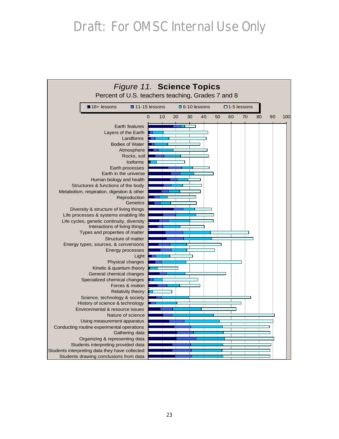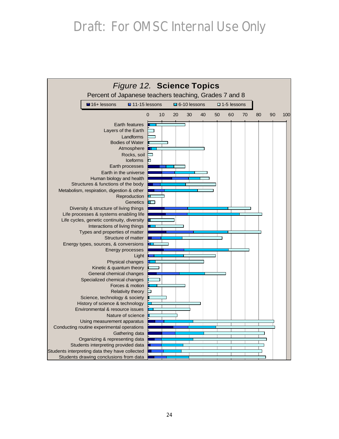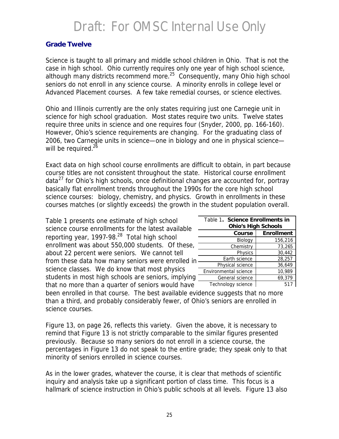#### **Grade Twelve**

Science is taught to all primary and middle school children in Ohio. That is not the case in high school. Ohio currently requires only one year of high school science, although many districts recommend more.<sup>25</sup> Consequently, many Ohio high school seniors do not enroll in any science course. A minority enrolls in college level or Advanced Placement courses. A few take remedial courses, or science electives.

Ohio and Illinois currently are the only states requiring just one Carnegie unit in science for high school graduation. Most states require two units. Twelve states require three units in science and one requires four (Snyder, 2000, pp. 166-160). However, Ohio's science requirements are changing. For the graduating class of 2006, two Carnegie units in science—one in biology and one in physical science will be required.<sup>26</sup>

Exact data on high school course enrollments are difficult to obtain, in part because course titles are not consistent throughout the state. Historical course enrollment data<sup>27</sup> for Ohio's high schools, once definitional changes are accounted for, portray basically flat enrollment trends throughout the 1990s for the core high school science courses: biology, chemistry, and physics. Growth in enrollments in these courses matches (or slightly exceeds) the growth in the student population overall.

Table 1 presents one estimate of high school science course enrollments for the latest available reporting year, 1997-98.<sup>28</sup> Total high school enrollment was about 550,000 students. Of these, about 22 percent were seniors. We cannot tell from these data how many seniors were enrolled in science classes. We do know that most physics students in most high schools are seniors, implying that no more than a quarter of seniors would have

| Table 1. Science Enrollments in<br><b>Ohio's High Schools</b> |         |  |  |  |  |  |
|---------------------------------------------------------------|---------|--|--|--|--|--|
| <b>Enrollment</b><br>Course                                   |         |  |  |  |  |  |
| Biology                                                       | 156,216 |  |  |  |  |  |
| Chemistry                                                     | 73,265  |  |  |  |  |  |
| Physics                                                       | 30.442  |  |  |  |  |  |
| Earth science                                                 | 28,257  |  |  |  |  |  |
| Physical science                                              | 36,649  |  |  |  |  |  |
| Environmental science                                         | 10,989  |  |  |  |  |  |
| General science                                               | 69,379  |  |  |  |  |  |
| Technology science                                            | 517     |  |  |  |  |  |

been enrolled in that course. The best available evidence suggests that no more than a third, and probably considerably fewer, of Ohio's seniors are enrolled in science courses.

Figure 13, on page 26, reflects this variety. Given the above, it is necessary to remind that Figure 13 is not strictly comparable to the similar figures presented previously. Because so many seniors do not enroll in a science course, the percentages in Figure 13 do not speak to the entire grade; they speak only to that minority of seniors enrolled in science courses.

As in the lower grades, whatever the course, it is clear that methods of scientific inquiry and analysis take up a significant portion of class time. This focus is a hallmark of science instruction in Ohio's public schools at all levels. Figure 13 also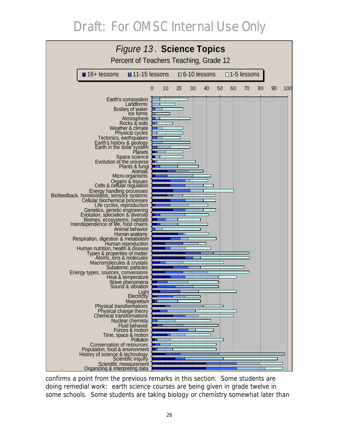

confirms a point from the previous remarks in this section. Some students are doing remedial work: earth science courses are being given in grade twelve in some schools. Some students are taking biology or chemistry somewhat later than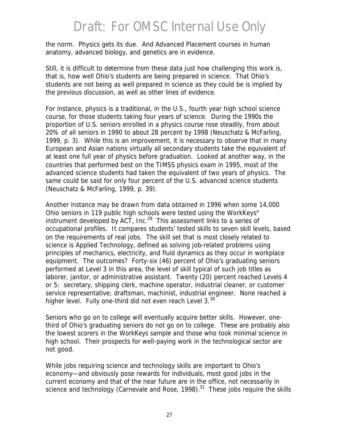the norm. Physics gets its due. And Advanced Placement courses in human anatomy, advanced biology, and genetics are in evidence.

Still, it is difficult to determine from these data just how challenging this work is, that is, how well Ohio's students are being prepared in science. That Ohio's students are not being as well prepared in science as they could be is implied by the previous discussion, as well as other lines of evidence.

For instance, physics is a traditional, in the U.S., fourth year high school science course, for those students taking four years of science. During the 1990s the proportion of U.S. seniors enrolled in a physics course rose steadily, from about 20% of all seniors in 1990 to about 28 percent by 1998 (Neuschatz & McFarling, 1999, p. 3). While this is an improvement, it is necessary to observe that in many European and Asian nations virtually all secondary students take the equivalent of at least one full year of physics before graduation. Looked at another way, in the countries that performed best on the TIMSS physics exam in 1995, most of the advanced science students had taken the equivalent of two years of physics. The same could be said for only four percent of the U.S. advanced science students (Neuschatz & McFarling, 1999, p. 39).

Another instance may be drawn from data obtained in 1996 when some 14,000 Ohio seniors in 119 public high schools were tested using the *WorkKeys*® instrument developed by  $ACT$ , Inc.<sup>29</sup> This assessment links to a series of occupational profiles. It compares students' tested skills to seven skill levels, based on the requirements of real jobs. The skill set that is most closely related to science is Applied Technology, defined as solving job-related problems using principles of mechanics, electricity, and fluid dynamics as they occur in workplace equipment. The outcomes? Forty-six (46) percent of Ohio's graduating seniors performed at Level 3 in this area, the level of skill typical of such job titles as laborer, janitor, or administrative assistant. Twenty (20) percent reached Levels 4 or 5: secretary, shipping clerk, machine operator, industrial cleaner, or customer service representative; draftsman, machinist, industrial engineer. None reached a higher level. Fully one-third did not even reach Level  $3.^{30}$ 

Seniors who go on to college will eventually acquire better skills. However, onethird of Ohio's graduating seniors do not go on to college. These are probably also the lowest scorers in the *WorkKeys* sample and those who took minimal science in high school. Their prospects for well-paying work in the technological sector are not good.

While jobs requiring science and technology skills are important to Ohio's economy—and obviously pose rewards for individuals, most good jobs in the current economy and that of the near future are in the office, not necessarily in science and technology (Carnevale and Rose, 1998). $31$  These jobs require the skills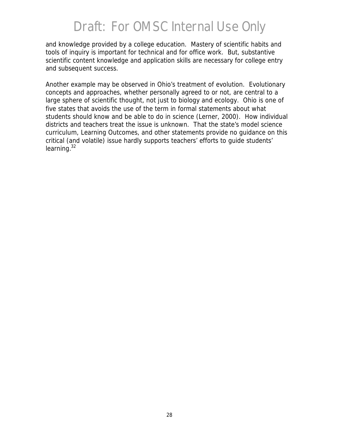and knowledge provided by a college education. Mastery of scientific habits and tools of inquiry is important for technical and for office work. But, substantive scientific content knowledge and application skills are necessary for college entry and subsequent success.

Another example may be observed in Ohio's treatment of evolution. Evolutionary concepts and approaches, whether personally agreed to or not, are central to a large sphere of scientific thought, not just to biology and ecology. Ohio is one of five states that avoids the use of the term in formal statements about what students should know and be able to do in science (Lerner, 2000). How individual districts and teachers treat the issue is unknown. That the state's model science curriculum, Learning Outcomes, and other statements provide no guidance on this critical (and volatile) issue hardly supports teachers' efforts to guide students' learning. $32$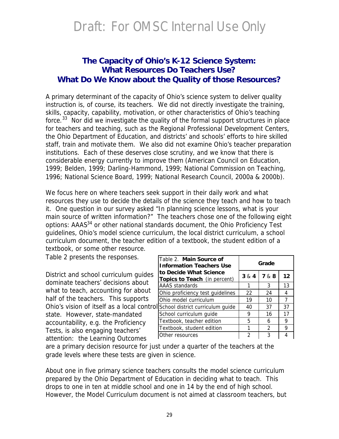#### **The Capacity of Ohio's K-12 Science System:** *What Resources Do Teachers Use? What Do We Know about the Quality of those Resources?*

A primary determinant of the capacity of Ohio's science system to deliver quality instruction is, of course, its teachers. We did not directly investigate the training, skills, capacity, capability, motivation, or other characteristics of Ohio's teaching force. $33$  Nor did we investigate the quality of the formal support structures in place for teachers and teaching, such as the Regional Professional Development Centers, the Ohio Department of Education, and districts' and schools' efforts to hire skilled staff, train and motivate them. We also did not examine Ohio's teacher preparation institutions. Each of these deserves close scrutiny, and we know that there is considerable energy currently to improve them (American Council on Education, 1999; Belden, 1999; Darling-Hammond, 1999; National Commission on Teaching, 1996; National Science Board, 1999; National Research Council, 2000*a* & 2000*b*).

We focus here on where teachers seek support in their daily work and what resources they use to decide the details of the science they teach and how to teach it. One question in our survey asked "In planning science lessons, what is your main source of written information?" The teachers chose one of the following eight options: AAAS<sup>34</sup> or other national standards document, the Ohio Proficiency Test guidelines, Ohio's model science curriculum, the local district curriculum, a school curriculum document, the teacher edition of a textbook, the student edition of a textbook, or some other resource.

Table 2 presents the responses.

District and school curriculum guides dominate teachers' decisions about what to teach, accounting for about half of the teachers. This supports Ohio's vision of itself as a local control state. However, state-mandated accountability, e.g. the Proficiency Tests, is also engaging teachers' attention: the Learning Outcomes

| Table 2. Main Source of<br><b>Information Teachers Use</b> | Grade                     |               |    |  |  |
|------------------------------------------------------------|---------------------------|---------------|----|--|--|
| to Decide What Science<br>Topics to Teach (in percent)     | 7 & 8<br>3 & 4<br>$12 \,$ |               |    |  |  |
| AAAS standards                                             | 1                         | 3             | 13 |  |  |
| Ohio proficiency test guidelines                           | 22                        | 24            | 4  |  |  |
| Ohio model curriculum                                      | 7<br>19<br>10             |               |    |  |  |
| School district curriculum guide                           | 40                        | 37            | 37 |  |  |
| School curriculum guide                                    | 9                         | 16            | 17 |  |  |
| Textbook, teacher edition                                  | 5                         | 6             | 9  |  |  |
| Textbook, student edition                                  | 1                         | $\mathcal{P}$ | 9  |  |  |
| Other resources                                            | 2                         | 3             |    |  |  |

are a primary decision resource for just under a quarter of the teachers at the grade levels where these tests are given in science.

About one in five primary science teachers consults the model science curriculum prepared by the Ohio Department of Education in deciding what to teach. This drops to one in ten at middle school and one in 14 by the end of high school. However, the Model Curriculum document is not aimed at classroom teachers, but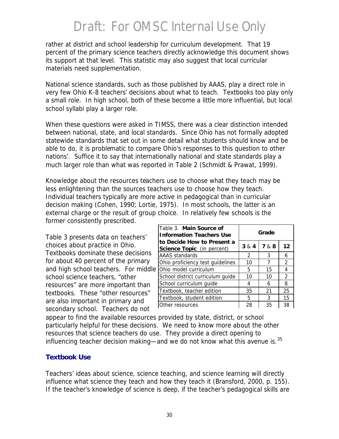rather at district and school leadership for curriculum development. That 19 percent of the primary science teachers directly acknowledge this document shows its support at that level. This statistic may also suggest that local curricular materials need supplementation.

National science standards, such as those published by AAAS, play a direct role in very few Ohio K-8 teachers' decisions about what to teach. Textbooks too play only a small role. In high school, both of these become a little more influential, but local school syllabi play a larger role.

When these questions were asked in TIMSS, there was a clear distinction intended between national, state, and local standards. Since Ohio has not formally adopted statewide standards that set out in some detail what students should know and be able to do, it is problematic to compare Ohio's responses to this question to other nations'. Suffice it to say that internationally national and state standards play a much larger role than what was reported in Table 2 (Schmidt & Prawat, 1999).

Knowledge about the resources teachers use to choose *what* they teach may be less enlightening than the sources teachers use to choose *how* they teach. Individual teachers typically are more active in pedagogical than in curricular decision making (Cohen, 1990; Lortie, 1975). In most schools, the latter is an external charge or the result of group choice. In relatively few schools is the former consistently prescribed.

Table 3 presents data on teachers' choices about practice in Ohio. Textbooks dominate these decisions for about 40 percent of the primary and high school teachers. For middle school science teachers, "other resources" are more important than textbooks. These "other resources" are also important in primary and secondary school. Teachers do not

| Table 3. Main Source of<br><b>Information Teachers Use</b>      | Grade                     |    |    |  |  |
|-----------------------------------------------------------------|---------------------------|----|----|--|--|
| to Decide How to Present a<br><b>Science Topic</b> (in percent) | 7 & 8<br>$12 \,$<br>3 & 4 |    |    |  |  |
| AAAS standards                                                  | $\mathcal{P}$             | 3  | 6  |  |  |
| Ohio proficiency test guidelines                                | 10                        | 7  | 2  |  |  |
| Ohio model curriculum                                           | 5<br>15<br>4              |    |    |  |  |
| School district curriculum guide                                | 10                        | 10 | 2  |  |  |
| School curriculum guide                                         | 4                         | 6  | 8  |  |  |
| Textbook, teacher edition                                       | 35                        | 21 | 25 |  |  |
| Textbook, student edition                                       | 5                         | 3  | 15 |  |  |
| Other resources                                                 | 28                        | 35 | 38 |  |  |

appear to find the available resources provided by state, district, or school particularly helpful for these decisions. We need to know more about the other resources that science teachers do use. They provide a direct opening to influencing teacher decision making—and we do not know what this avenue is. $35$ 

#### **Textbook Use**

Teachers' ideas about science, science teaching, and science learning will directly influence what science they teach and how they teach it (Bransford, 2000, p. 155). If the teacher's knowledge of science is deep, if the teacher's pedagogical skills are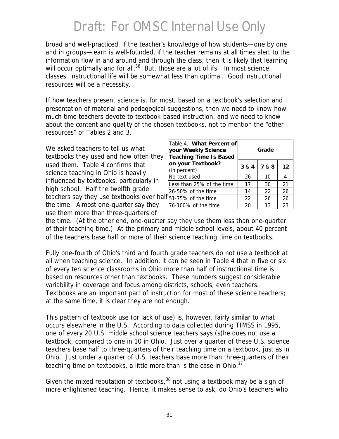broad and well-practiced, if the teacher's knowledge of how students—one by one and in groups—learn is well-founded, if the teacher remains at all times alert to the information flow in and around and through the class, then it is likely that learning will occur optimally and for all.<sup>36</sup> But, those are a lot of *ifs*. In most science classes, instructional life will be somewhat less than optimal. Good instructional resources will be a necessity.

If how teachers present science is, for most, based on a textbook's selection and presentation of material and pedagogical suggestions, then we need to know how much time teachers devote to textbook-based instruction, and we need to know about the content and quality of the chosen textbooks, not to mention the "other resources" of Tables 2 and 3.

We asked teachers to tell us what textbooks they used and how often they used them. Table 4 confirms that science teaching in Ohio is heavily influenced by textbooks, particularly in high school. Half the twelfth grade teachers say they use textbooks over half the time. Almost one-quarter say they use them more than three-quarters of

| Table 4. What Percent of<br>your Weekly Science<br><b>Teaching Time Is Based</b> | Grade |       |    |  |  |
|----------------------------------------------------------------------------------|-------|-------|----|--|--|
| on your Textbook?<br>(in percent)                                                | 3 & 4 | 7 & 8 | 12 |  |  |
| No text used                                                                     | 26    | 10    | 4  |  |  |
| Less than 25% of the time                                                        | 17    | 30    | 21 |  |  |
| 26-50% of the time                                                               | 14    | 22    | 26 |  |  |
| 51-75% of the time                                                               | 22    | 26    | 26 |  |  |
| 76-100% of the time                                                              | 20    | 13    | 23 |  |  |

the time. (At the other end, one-quarter say they use them less than one-quarter of their teaching time.) At the primary and middle school levels, about 40 percent of the teachers base half or more of their science teaching time on textbooks.

Fully one-fourth of Ohio's third and fourth grade teachers do not use a textbook at all when teaching science. In addition, it can be seen in Table 4 that in five or six of every ten science classrooms in Ohio more than half of instructional time is based on resources other than textbooks. These numbers suggest considerable variability in coverage and focus among districts, schools, even teachers. Textbooks are an important part of instruction for most of these science teachers; at the same time, it is clear they are not enough.

This pattern of textbook use (or lack of use) is, however, fairly similar to what occurs elsewhere in the U.S. According to data collected during TIMSS in 1995, one of every 20 U.S. middle school science teachers says (s)he does not use a textbook, compared to one in 10 in Ohio. Just over a quarter of these U.S. science teachers base half to three-quarters of their teaching time on a textbook, just as in Ohio. Just under a quarter of U.S. teachers base more than three-quarters of their teaching time on textbooks, a little more than is the case in Ohio. $37$ 

Given the mixed reputation of textbooks,  $38$  not using a textbook may be a sign of more enlightened teaching. Hence, it makes sense to ask, do Ohio's teachers who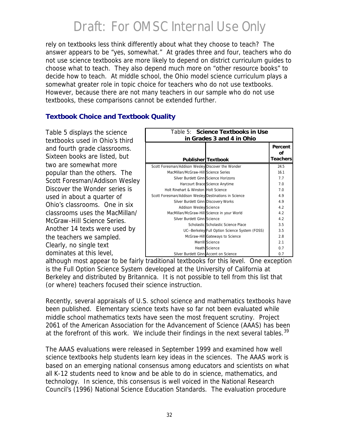rely on textbooks less think differently about *what* they choose to teach? The answer appears to be "yes, somewhat." At grades three and four, teachers who do not use science textbooks are more likely to depend on district curriculum guides to choose what to teach. They also depend much more on "other resource books" to decide how to teach. At middle school, the Ohio model science curriculum plays a somewhat greater role in topic choice for teachers who do not use textbooks. However, because there are not many teachers in our sample who do not use textbooks, these comparisons cannot be extended further.

#### **Textbook Choice and Textbook Quality**

Table 5 displays the science textbooks used in Ohio's third and fourth grade classrooms. Sixteen books are listed, but two are somewhat more popular than the others. The Scott Foresman/Addison Wesley *Discover the Wonder* series is used in about a quarter of Ohio's classrooms. One in six classrooms uses the MacMillan/ McGraw-Hill *Science Series*. Another 14 texts were used by the teachers we sampled. Clearly, no single text dominates at this level,

| Table 5: Science Textbooks in Use<br>in Grades 3 and 4 in Ohio |                                                |                                  |  |  |  |
|----------------------------------------------------------------|------------------------------------------------|----------------------------------|--|--|--|
|                                                                | <b>Publisher Textbook</b>                      | Percent<br>Ωf<br><b>Teachers</b> |  |  |  |
| Scott Foresman/Addison Wesley Discover the Wonder              |                                                | 24.5                             |  |  |  |
| MacMillan/McGraw-Hill Science Series                           |                                                | 16.1                             |  |  |  |
| Silver Burdett Ginn Science Horizons                           |                                                | 7.7                              |  |  |  |
|                                                                | Harcourt Brace Science Anytime                 | 7 O                              |  |  |  |
| Holt Rinehart & Winston Holt Science                           |                                                | 7 O                              |  |  |  |
| Scott Foresman/Addison Wesley Destinations in Science          |                                                | 49                               |  |  |  |
| Silver Burdett Ginn Discovery Works                            |                                                | 49                               |  |  |  |
| <b>Addison Wesley Science</b>                                  |                                                | 4.2                              |  |  |  |
| MacMillan/McGraw-Hill Science in your World                    |                                                | 42                               |  |  |  |
| Silver Burdett Ginn Science                                    |                                                | 4.2                              |  |  |  |
|                                                                | Scholastic Scholastic Science Place            | 3.5                              |  |  |  |
|                                                                | UC--Berkeley Full Option Science System (FOSS) | 3.5                              |  |  |  |
|                                                                | McGraw-Hill Gateways to Science                | 28                               |  |  |  |
|                                                                | Merrill Science                                | 2.1                              |  |  |  |
|                                                                | <b>Heath Science</b>                           | 0 <sub>7</sub>                   |  |  |  |
| Silver Burdett Ginn Accent on Science                          |                                                | 0.7                              |  |  |  |

although most appear to be fairly traditional textbooks for this level. One exception is the *Full Option Science System* developed at the University of California at Berkeley and distributed by Britannica. It is not possible to tell from this list that (or where) teachers focused their science instruction.

Recently, several appraisals of U.S. school science and mathematics textbooks have been published. Elementary science texts have so far not been evaluated while middle school mathematics texts have seen the most frequent scrutiny. Project 2061 of the American Association for the Advancement of Science (AAAS) has been at the forefront of this work. We include their findings in the next several tables.<sup>39</sup>

The AAAS evaluations were released in September 1999 and examined how well science textbooks help students learn key ideas in the sciences. The AAAS work is based on an emerging national consensus among educators and scientists on what all K-12 students need to know and be able to do in science, mathematics, and technology. In science, this consensus is well voiced in the National Research Council's (1996) *National Science Education Standards.* The evaluation procedure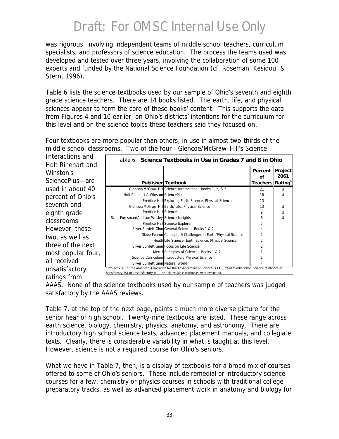was rigorous, involving independent teams of middle school teachers, curriculum specialists, and professors of science education. The process the teams used was developed and tested over three years, involving the collaboration of some 100 experts and funded by the National Science Foundation (cf. Roseman, Kesidou, & Stern, 1996).

Table 6 lists the science textbooks used by our sample of Ohio's seventh and eighth grade science teachers. There are 14 books listed. The earth, life, and physical sciences appear to form the core of these books' content. This supports the data from Figures 4 and 10 earlier, on Ohio's districts' intentions for the curriculum for this level and on the science topics these teachers said they focused on.

Four textbooks are more popular than others, in use in almost two-thirds of the middle school classrooms. Two of the four—Glencoe/McGraw-Hill's *Science* 

*Interactions* and Holt Rinehart and Winston's *SciencePlus*—are used in about 40 percent of Ohio's seventh and eighth grade classrooms. However, these two, as well as three of the next most popular fou all received *unsatisfactory* ratings from

|                                                |                                                              | Percent Project<br><b>of</b> | 2061         |
|------------------------------------------------|--------------------------------------------------------------|------------------------------|--------------|
|                                                | <b>PublisherlTextbook</b>                                    | Teachers Rating <sup>®</sup> |              |
|                                                | Glencoe/McGraw-Hill Science Interactions: Books 1, 2, & 3    | 21                           | $\mathbf{U}$ |
| Holt Rinehart & Winston SciencePlus            |                                                              | 18                           | U            |
|                                                | Prentice Hall Exploring Earth Science, Physical Science      | 13                           |              |
|                                                | Glencoe/McGraw-Hill Earth, Life, Physical Science            | 13                           | U            |
| Prentice Hall Science                          |                                                              | 9                            | $\cup$       |
| Scott Foresman/Addison Wesley Science Insights |                                                              | 6                            | $\mathbf{U}$ |
|                                                | Prentice Hall Science Explorer                               | 5                            |              |
|                                                | Silver Burdett Ginn General Science: Books 1 & 2             | 4                            |              |
|                                                | Globe Fearon Concepts & Challenges in Earth/Physical Science | $\overline{2}$               |              |
|                                                | Heath Life Science, Earth Science, Physical Science          | 2                            |              |
|                                                | Silver Burdett Ginn Focus on Life Science                    | $\overline{\mathcal{L}}$     |              |
|                                                | Merrill Principles of Science: Books 1 & 2                   |                              |              |
|                                                | Science Curriculum Introductory Physical Science             |                              |              |
| Silver Burdett Ginn Natural World              |                                                              |                              |              |

AAAS. None of the science textbooks used by our sample of teachers was judged *satisfactory* by the AAAS reviews.

Table 7, at the top of the next page, paints a much more diverse picture for the senior hear of high school. Twenty-nine textbooks are listed. These range across earth science, biology, chemistry, physics, anatomy, and astronomy. There are introductory high school science texts, advanced placement manuals, and collegiate texts. Clearly, there is considerable variability in what is taught at this level. However, science is not a required course for Ohio's seniors.

What we have in Table 7, then, is a display of textbooks for a broad mix of courses offered to some of Ohio's seniors. These include remedial or introductory science courses for a few, chemistry or physics courses in schools with traditional college preparatory tracks, as well as advanced placement work in anatomy and biology for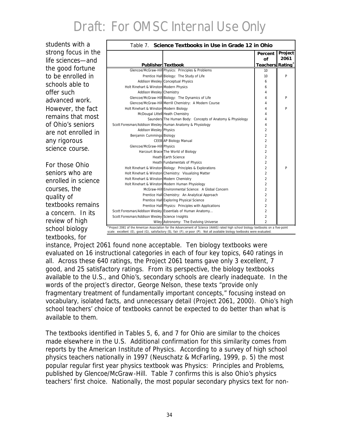students with a strong focus in the life sciences—and the good fortune to be enrolled in schools able to offer such advanced work. However, the fact remains that most of Ohio's seniors are not enrolled in any rigorous science course.

For those Ohio seniors who are enrolled in science courses, the quality of textbooks remains a concern. In its review of high school biology textbooks, for

|                                                          | <b>Publisher</b> Textbook                                  | <b>Percent</b><br>of<br>Teachers Rating <sup>a</sup> | Project<br>2061 |
|----------------------------------------------------------|------------------------------------------------------------|------------------------------------------------------|-----------------|
|                                                          | Glencoe/McGraw-Hill Physics: Principles & Problems         | 10 <sup>10</sup>                                     |                 |
|                                                          | Prentice Hall Biology: The Study of Life                   | 10                                                   | Þ               |
|                                                          | <b>Addison Wesley Conceptual Physics</b>                   | 6                                                    |                 |
| Holt Rinehart & Winston Modern Physics                   |                                                            | 6                                                    |                 |
| Addison Wesley Chemistry                                 |                                                            | 4                                                    |                 |
|                                                          | Glencoe/McGraw-Hill Biology: The Dynamics of Life          | 4                                                    | P               |
|                                                          | Glencoe/McGraw-Hill Merrill Chemistry: A Modern Course     | 4                                                    |                 |
| Holt Rinehart & Winston Modern Biology                   |                                                            | 4                                                    | P               |
|                                                          | McDougal Littell Heath Chemistry                           | 4                                                    |                 |
|                                                          | Saunders The Human Body: Concepts of Anatomy & Physiology  | 4                                                    |                 |
| Scott Foresman/Addison Wesley Human Anatomy & Physiology |                                                            | 4                                                    |                 |
| <b>Addison Wesley Physics</b>                            |                                                            | $\overline{a}$                                       |                 |
| Benjamin Cummings Biology                                |                                                            | $\overline{2}$                                       |                 |
|                                                          | CEEB AP Biology Manual                                     | $\overline{2}$                                       |                 |
| Glencoe/McGraw-Hill Physics                              |                                                            | $\overline{2}$                                       |                 |
|                                                          | Harcourt Brace The World of Biology                        | 2                                                    |                 |
|                                                          | <b>Heath Earth Science</b>                                 | 2                                                    |                 |
|                                                          | Heath Fundamentals of Physics                              | $\overline{2}$                                       |                 |
|                                                          | Holt Rinehart & Winston Biology: Principles & Explorations | $\overline{2}$                                       | P               |
|                                                          | Holt Rinehart & Winston Chemistry: Visualizing Matter      | $\overline{2}$                                       |                 |
| Holt Rinehart & Winston Modern Chemistry                 |                                                            | $\overline{2}$                                       |                 |
|                                                          | Holt Rinehart & Winston Modern Human Physiology            | $\overline{c}$                                       |                 |
|                                                          | McGraw-Hill Environmental Science: A Global Concern        | $\overline{a}$                                       |                 |
|                                                          | Prentice Hall Chemistry: An Analytical Approach            | $\overline{2}$                                       |                 |
|                                                          | Prentice Hall Exploring Physical Science                   | $\overline{2}$                                       |                 |
|                                                          | Prentice Hall Physics: Principles with Applications        | 2                                                    |                 |
|                                                          | Scott Foresman/Addison Wesley Essentials of Human Anatomy  | $\overline{2}$                                       |                 |
| Scott Foresman/Addison Wesley Science Insights           |                                                            | $\overline{2}$                                       |                 |
|                                                          | Wiley Astronomy: The Evolving Universe                     | $\mathfrak{p}$                                       |                 |

scale: *excellent* (E), *good* (G), *satisfactory* (S), *fair* (F), or *poor* (P).

instance, Project 2061 found none acceptable. Ten biology textbooks were evaluated on 16 instructional categories in each of four key topics, 640 ratings in all. Across these 640 ratings, the Project 2061 teams gave only 3 excellent, 7 good, and 25 satisfactory ratings. From its perspective, the biology textbooks available to the U.S., and Ohio's, secondary schools are clearly inadequate. In the words of the project's director, George Nelson, these texts "provide only fragmentary treatment of fundamentally important concepts," focusing instead on vocabulary, isolated facts, and unnecessary detail (Project 2061, 2000). Ohio's high school teachers' choice of textbooks cannot be expected to do better than what is available to them.

The textbooks identified in Tables 5, 6, and 7 for Ohio are similar to the choices made elsewhere in the U.S. Additional confirmation for this similarity comes from reports by the American Institute of Physics. According to a survey of high school physics teachers nationally in 1997 (Neuschatz & McFarling, 1999, p. 5) the most popular regular first year physics textbook was *Physics: Principles and Problems*, published by Glencoe/McGraw-Hill. Table 7 confirms this is also Ohio's physics teachers' first choice. Nationally, the most popular secondary physics text for non-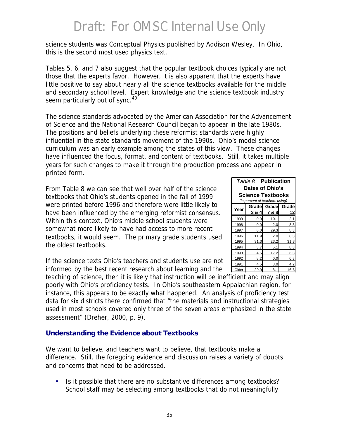science students was *Conceptual Physics* published by Addison Wesley. In Ohio, this is the second most used physics text.

Tables 5, 6, and 7 also suggest that the popular textbook choices typically are not those that the experts favor. However, it is also apparent that the experts have little positive to say about nearly all the science textbooks available for the middle and secondary school level. Expert knowledge and the science textbook industry seem particularly out of sync.<sup>40</sup>

The science standards advocated by the American Association for the Advancement of Science and the National Research Council began to appear in the late 1980s. The positions and beliefs underlying these reformist standards were highly influential in the state standards movement of the 1990s. Ohio's model science curriculum was an early example among the states of this view. These changes have influenced the focus, format, and content of textbooks. Still, it takes multiple years for such changes to make it through the production process and appear in printed form.

From Table 8 we can see that well over half of the science textbooks that Ohio's students opened in the fall of 1999 were printed before 1996 and therefore were little likely to have been influenced by the emerging reformist consensus. Within this context, Ohio's middle school students were somewhat more likely to have had access to more recent textbooks, it would seem. The primary grade students used the oldest textbooks.

| Table 8. Publication<br>Dates of Ohio's<br><b>Science Textbooks</b><br>(in percent of teachers using) |       |             |       |  |  |  |
|-------------------------------------------------------------------------------------------------------|-------|-------------|-------|--|--|--|
| Year                                                                                                  |       | Grade Grade | Grade |  |  |  |
|                                                                                                       | 3 & 4 | 7 & 8       | 12    |  |  |  |
| 1999                                                                                                  | 0.0   | 10.1        | 2.1   |  |  |  |
| 1998                                                                                                  | 0.0   | 2.0         | 8.3   |  |  |  |
| 1997                                                                                                  | 6.0   | 29.3        | 8.3   |  |  |  |
| 1996                                                                                                  | 11.9  | 2.0         | 8.3   |  |  |  |
| 1995                                                                                                  | 31.3  | 23.2        | 31.3  |  |  |  |
| 1994                                                                                                  | 3.7   | 5.1         | 8.3   |  |  |  |
| 1993                                                                                                  | 4.5   | 17.2        | 6.3   |  |  |  |
| 1992                                                                                                  | 8.2   | 0.0         | 6.3   |  |  |  |
| 1991                                                                                                  | 4.5   | 3.0         | 4.2   |  |  |  |
| Older                                                                                                 | 29.9  | 8.1         | 16.6  |  |  |  |

If the science texts Ohio's teachers and students use are not informed by the best recent research about learning and the

teaching of science, then it is likely that instruction will be inefficient and may align poorly with Ohio's proficiency tests. In Ohio's southeastern Appalachian region, for instance, this appears to be exactly what happened. An analysis of proficiency test data for six districts there confirmed that "the materials and instructional strategies used in most schools covered only three of the seven areas emphasized in the state assessment" (Dreher, 2000, p. 9).

#### **Understanding the Evidence about Textbooks**

We want to believe, and teachers want to believe, that textbooks make a difference. Still, the foregoing evidence and discussion raises a variety of doubts and concerns that need to be addressed.

**If is a Is it possible that there are no substantive differences among textbooks?** School staff may be selecting among textbooks that do not meaningfully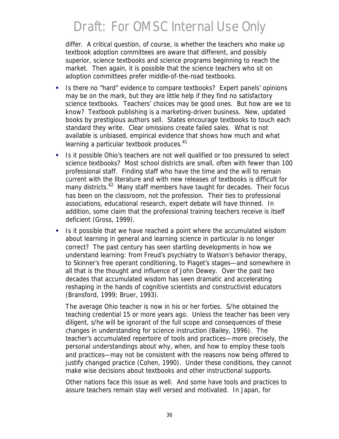differ. A critical question, of course, is whether the teachers who make up textbook adoption committees are aware that different, and possibly superior, science textbooks and science programs beginning to reach the market. Then again, it is possible that the science teachers who sit on adoption committees prefer middle-of-the-road textbooks.

- ß Is there no "hard" evidence to compare textbooks? Expert panels' opinions may be on the mark, but they are little help if they find no satisfactory science textbooks. Teachers' choices may be good ones. But how are we to know? Textbook publishing is a marketing-driven business. New, updated books by prestigious authors sell. States encourage textbooks to touch each standard they write. Clear omissions create failed sales. What is not available is unbiased, empirical evidence that shows how much and what learning a particular textbook produces.<sup>41</sup>
- ß Is it possible Ohio's teachers are not well qualified or too pressured to select science textbooks? Most school districts are small, often with fewer than 100 professional staff. Finding staff who have the time and the will to remain current with the literature and with new releases of textbooks is difficult for many districts.<sup>42</sup> Many staff members have taught for decades. Their focus has been on the classroom, not the profession. Their ties to professional associations, educational research, expert debate will have thinned. In addition, some claim that the professional training teachers receive is itself deficient (Gross, 1999).
- **If It is it possible that we have reached a point where the accumulated wisdom** about learning in general and learning science in particular is no longer correct? The past century has seen startling developments in how we understand learning: from Freud's psychiatry to Watson's behavior therapy, to Skinner's free operant conditioning, to Piaget's stages—and somewhere in all that is the thought and influence of John Dewey. Over the past two decades that accumulated wisdom has seen dramatic and accelerating reshaping in the hands of cognitive scientists and constructivist educators (Bransford, 1999; Bruer, 1993).

The average Ohio teacher is now in his or her forties. S/he obtained the teaching credential 15 or more years ago. Unless the teacher has been very diligent, s/he will be ignorant of the full scope and consequences of these changes in understanding for science instruction (Bailey, 1996). The teacher's accumulated repertoire of tools and practices—more precisely, the personal understandings about why, when, and how to employ these tools and practices—may not be consistent with the reasons now being offered to justify changed practice (Cohen, 1990). Under these conditions, they cannot make wise decisions about textbooks and other instructional supports.

Other nations face this issue as well. And some have tools and practices to assure teachers remain stay well versed and motivated. In Japan, for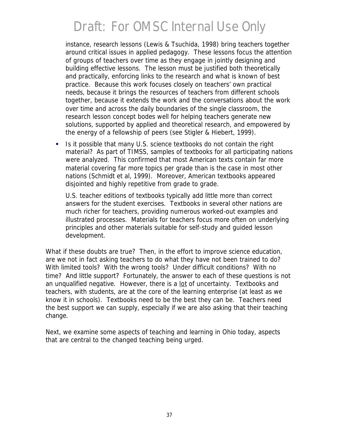instance, research lessons (Lewis & Tsuchida, 1998) bring teachers together around critical issues in applied pedagogy. These lessons focus the attention of groups of teachers over time as they engage in jointly designing and building effective lessons. The lesson must be justified both theoretically and practically, enforcing links to the research and what is known of best practice. Because this work focuses closely on teachers' own practical needs, because it brings the resources of teachers from different schools together, because it extends the work and the conversations about the work over time and across the daily boundaries of the single classroom, the research lesson concept bodes well for helping teachers generate new solutions, supported by applied and theoretical research, and empowered by the energy of a fellowship of peers (see Stigler & Hiebert, 1999).

**IS It possible that many U.S. science textbooks do not contain the right** material? As part of TIMSS, samples of textbooks for all participating nations were analyzed. This confirmed that most American texts contain far more material covering far more topics per grade than is the case in most other nations (Schmidt et al, 1999). Moreover, American textbooks appeared disjointed and highly repetitive from grade to grade.

U.S. teacher editions of textbooks typically add little more than correct answers for the student exercises. Textbooks in several other nations are much richer for teachers, providing numerous worked-out examples and illustrated processes. Materials for teachers focus more often on underlying principles and other materials suitable for self-study and guided lesson development.

What if these doubts are true? Then, in the effort to improve science education, are we not in fact asking teachers to do what they have not been trained to do? With limited tools? With the wrong tools? Under difficult conditions? With no time? And little support? Fortunately, the answer to each of these questions is not an unqualified negative. However, there is a lot of uncertainty. Textbooks and teachers, with students, are at the core of the learning enterprise (at least as we know it in schools). Textbooks need to be the best they can be. Teachers need the best support we can supply, especially if we are also asking that their teaching change.

Next, we examine some aspects of teaching and learning in Ohio today, aspects that are central to the changed teaching being urged.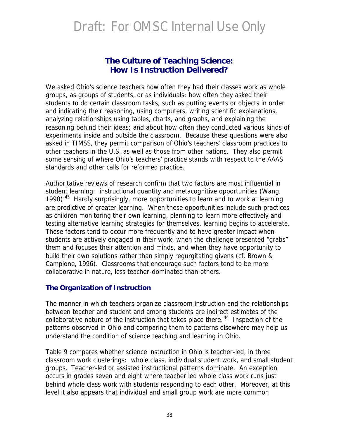#### **The Culture of Teaching Science:** *How Is Instruction Delivered?*

We asked Ohio's science teachers how often they had their classes work as whole groups, as groups of students, or as individuals; how often they asked their students to do certain classroom tasks, such as putting events or objects in order and indicating their reasoning, using computers, writing scientific explanations, analyzing relationships using tables, charts, and graphs, and explaining the reasoning behind their ideas; and about how often they conducted various kinds of experiments inside and outside the classroom. Because these questions were also asked in TIMSS, they permit comparison of Ohio's teachers' classroom practices to other teachers in the U.S. as well as those from other nations. They also permit some sensing of where Ohio's teachers' practice stands with respect to the AAAS standards and other calls for reformed practice.

Authoritative reviews of research confirm that two factors are most influential in student learning: instructional quantity and metacognitive opportunities (Wang, 1990).<sup>43</sup> Hardly surprisingly, more opportunities to learn and to work at learning are predictive of greater learning. When these opportunities include such practices as children monitoring their own learning, planning to learn more effectively and testing alternative learning strategies for themselves, learning begins to accelerate. These factors tend to occur more frequently and to have greater impact when students are actively engaged in their work, when the challenge presented "grabs" them and focuses their attention and minds, and when they have opportunity to build their own solutions rather than simply regurgitating givens (cf. Brown & Campione, 1996). Classrooms that encourage such factors tend to be more collaborative in nature, less teacher-dominated than others.

#### **The Organization of Instruction**

The manner in which teachers organize classroom instruction and the relationships between teacher and student and among students are indirect estimates of the collaborative nature of the instruction that takes place there. <sup>44</sup> Inspection of the patterns observed in Ohio and comparing them to patterns elsewhere may help us understand the condition of science teaching and learning in Ohio.

Table 9 compares whether science instruction in Ohio is teacher-led, in three classroom work clusterings: whole class, individual student work, and small student groups. Teacher-led or assisted instructional patterns dominate. An exception occurs in grades seven and eight where teacher led whole class work runs just behind whole class work with students responding to each other. Moreover, at this level it also appears that individual and small group work are more common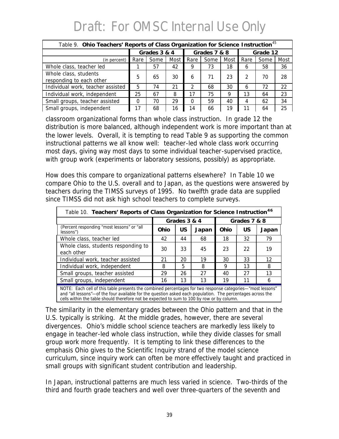| Table 9. Ohio Teachers' Reports of Class Organization for Science Instruction <sup>45</sup> |              |      |      |              |      |      |          |      |      |
|---------------------------------------------------------------------------------------------|--------------|------|------|--------------|------|------|----------|------|------|
|                                                                                             | Grades 3 & 4 |      |      | Grades 7 & 8 |      |      | Grade 12 |      |      |
| (in percent)                                                                                | Rare         | Some | Most | Rare         | Some | Most | Rare     | Some | Most |
| Whole class, teacher led                                                                    |              | 57   | 42   | 9            | 73   | 18   | b        | 58   | 36   |
| Whole class, students<br>responding to each other                                           | 5            | 65   | 30   | 6            | 71   | 23   |          | 70   | 28   |
| Individual work, teacher assisted                                                           | 5            | 74   | 21   | 2            | 68   | 30   | 6        | 72   | 22   |
| Individual work, independent                                                                | 25           | 67   | 8    | 17           | 75   | 9    | 13       | 64   | 23   |
| Small groups, teacher assisted                                                              | 0            | 70   | 29   | $\Omega$     | 59   | 40   |          | 62   | 34   |
| Small groups, independent                                                                   | 17           | 68   | 16   | 14           | 66   | 19   |          | 64   | 25   |

classroom organizational forms than whole class instruction. In grade 12 the distribution is more balanced, although independent work is more important than at the lower levels. Overall, it is tempting to read Table 9 as supporting the common instructional patterns we all know well: teacher-led whole class work occurring most days, giving way most days to some individual teacher-supervised practice, with group work (experiments or laboratory sessions, possibly) as appropriate.

How does this compare to organizational patterns elsewhere? In Table 10 we compare Ohio to the U.S. overall and to Japan, as the questions were answered by teachers during the TIMSS surveys of 1995. No twelfth grade data are supplied since TIMSS did not ask high school teachers to complete surveys.

| Table 10. Teachers' Reports of Class Organization for Science Instruction <sup>46</sup>                                                                                                                                  |              |           |       |              |           |       |  |  |  |
|--------------------------------------------------------------------------------------------------------------------------------------------------------------------------------------------------------------------------|--------------|-----------|-------|--------------|-----------|-------|--|--|--|
|                                                                                                                                                                                                                          | Grades 3 & 4 |           |       | Grades 7 & 8 |           |       |  |  |  |
| (Percent responding "most lessons" or "all<br>lessons")                                                                                                                                                                  | Ohio         | <b>US</b> | Japan | Ohio         | <b>US</b> | Japan |  |  |  |
| Whole class, teacher led                                                                                                                                                                                                 | 42           | 44        | 68    | 18           | 32        | 79    |  |  |  |
| Whole class, students responding to<br>each other                                                                                                                                                                        | 30           | 33        | 45    | 23           | 22        | 19    |  |  |  |
| Individual work, teacher assisted                                                                                                                                                                                        | 21           | 20        | 19    | 30           | 33        | 12    |  |  |  |
| Individual work, independent                                                                                                                                                                                             | 8            | 5         | 8     | 9            | 13        | 8     |  |  |  |
| Small groups, teacher assisted                                                                                                                                                                                           | 29           | 26        | 27    | 40           | 27        | 13    |  |  |  |
| Small groups, independent                                                                                                                                                                                                | 16           | 13        | 13    | 19           | 11        | 6     |  |  |  |
| NOTE: Each cell of this table presents the combined percentages for two response categories—"most lessons"<br>and "all lessons"—of the four available for the question asked each population. The perceptages across the |              |           |       |              |           |       |  |  |  |

and "all lessons"—of the four available for the question asked each population. The percentages across the cells within the table should therefore not be expected to sum to 100 by row or by column.

The similarity in the elementary grades between the Ohio pattern and that in the U.S. typically is striking. At the middle grades, however, there are several divergences. Ohio's middle school science teachers are markedly less likely to engage in teacher-led whole class instruction, while they divide classes for small group work more frequently. It is tempting to link these differences to the emphasis Ohio gives to the Scientific Inquiry strand of the model science curriculum, since inquiry work can often be more effectively taught and practiced in small groups with significant student contribution and leadership.

In Japan, instructional patterns are much less varied in science. Two-thirds of the third and fourth grade teachers and well over three-quarters of the seventh and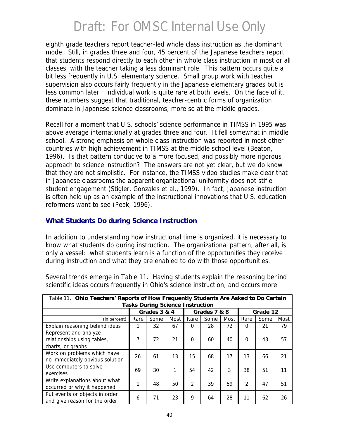eighth grade teachers report teacher-led whole class instruction as the dominant mode. Still, in grades three and four, 45 percent of the Japanese teachers report that students respond directly to each other in whole class instruction in most or all classes, with the teacher taking a less dominant role. This pattern occurs quite a bit less frequently in U.S. elementary science. Small group work with teacher supervision also occurs fairly frequently in the Japanese elementary grades but is less common later. Individual work is quite rare at both levels. On the face of it, these numbers suggest that traditional, teacher-centric forms of organization dominate in Japanese science classrooms, more so at the middle grades.

Recall for a moment that U.S. schools' science performance in TIMSS in 1995 was above average internationally at grades three and four. It fell somewhat in middle school. A strong emphasis on whole class instruction was reported in most other countries with high achievement in TIMSS at the middle school level (Beaton, 1996). Is that pattern conducive to a more focused, and possibly more rigorous approach to science instruction? The answers are not yet clear, but we do know that they are not simplistic. For instance, the TIMSS video studies make clear that in Japanese classrooms the apparent organizational uniformity does not stifle student engagement (Stigler, Gonzales et al., 1999). In fact, Japanese instruction is often held up as an example of the instructional innovations that U.S. education reformers want to see (Peak, 1996).

#### **What Students Do during Science Instruction**

In addition to understanding how instructional time is organized, it is necessary to know what students do during instruction. The organizational pattern, after all, is only a vessel: what students learn is a function of the opportunities they receive during instruction and what they are enabled to do with those opportunities.

| Table 11. Ohio Teachers' Reports of How Frequently Students Are Asked to Do Certain |              |          |              |                |      |          |               |      |      |
|-------------------------------------------------------------------------------------|--------------|----------|--------------|----------------|------|----------|---------------|------|------|
| <b>Tasks During Science Instruction</b>                                             |              |          |              |                |      |          |               |      |      |
|                                                                                     | Grades 3 & 4 |          | Grades 7 & 8 |                |      | Grade 12 |               |      |      |
| (in percent)                                                                        | Rare         | Some     | Most         | Rare           | Some | Most     | Rare          | Some | Most |
| Explain reasoning behind ideas                                                      |              | 32       | 67           | $\Omega$       | 28   | 72       | $\Omega$      | 21   | 79   |
| Represent and analyze                                                               |              |          |              |                |      |          |               |      |      |
| relationships using tables,                                                         | 7            | 72       | 21           | $\Omega$       | 60   | 40       | $\Omega$      | 43   | 57   |
| charts, or graphs                                                                   |              |          |              |                |      |          |               |      |      |
| Work on problems which have                                                         |              | 61<br>26 | 13           | 15             | 68   | 17       | 13            | 66   | 21   |
| no immediately obvious solution                                                     |              |          |              |                |      |          |               |      |      |
| Use computers to solve                                                              | 69           | 30       | 1            | 54             | 42   | 3        | 38            | 51   | 11   |
| exercises                                                                           |              |          |              |                |      |          |               |      |      |
| Write explanations about what                                                       |              |          | 50           | $\overline{2}$ |      | 59       | $\mathcal{P}$ |      |      |
| occurred or why it happened                                                         |              | 48       |              |                | 39   |          |               | 47   | 51   |
| Put events or objects in order                                                      | 6            | 71       |              | 9              | 64   |          | 11            | 62   | 26   |
| and give reason for the order                                                       |              |          | 23           |                |      | 28       |               |      |      |

Several trends emerge in Table 11. Having students explain the reasoning behind scientific ideas occurs frequently in Ohio's science instruction, and occurs more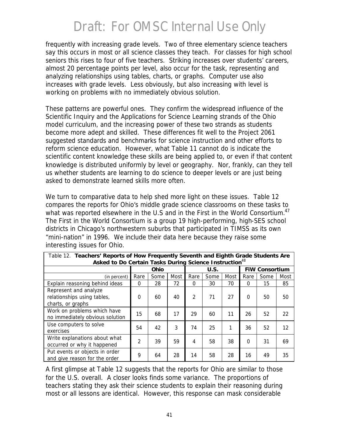frequently with increasing grade levels. Two of three elementary science teachers say this occurs in most or all science classes they teach. For classes for high school seniors this rises to four of five teachers. Striking increases over students' careers, almost 20 percentage points per level, also occur for the task, representing and analyzing relationships using tables, charts, or graphs. Computer use also increases with grade levels. Less obviously, but also increasing with level is working on problems with no immediately obvious solution.

These patterns are powerful ones. They confirm the widespread influence of the Scientific Inquiry and the Applications for Science Learning strands of the Ohio model curriculum, and the increasing power of these two strands as students become more adept and skilled. These differences fit well to the Project 2061 suggested standards and benchmarks for science instruction and other efforts to reform science education. However, what Table 11 cannot do is indicate the scientific content knowledge these skills are being applied to, or even if that content knowledge is distributed uniformly by level or geography. Nor, frankly, can they tell us whether students are learning to do science to deeper levels or are just being asked to demonstrate learned skills more often.

We turn to comparative data to help shed more light on these issues. Table 12 compares the reports for Ohio's middle grade science classrooms on these tasks to what was reported elsewhere in the U.S and in the First in the World Consortium.<sup>47</sup> The First in the World Consortium is a group 19 high-performing, high-SES school districts in Chicago's northwestern suburbs that participated in TIMSS as its own "mini-nation" in 1996. We include their data here because they raise some interesting issues for Ohio.

| .<br>Asked to Do Certain Tasks During Science Instruction <sup>48</sup>   |                |      |      |                |      |      |                       |      |      |
|---------------------------------------------------------------------------|----------------|------|------|----------------|------|------|-----------------------|------|------|
|                                                                           | Ohio           |      |      | U.S.           |      |      | <b>FIW Consortium</b> |      |      |
| (in percent)                                                              | Rare           | Some | Most | Rare           | Some | Most | Rare                  | Some | Most |
| Explain reasoning behind ideas                                            | $\Omega$       | 28   | 72   | $\Omega$       | 30   | 70   | $\Omega$              | 15   | 85   |
| Represent and analyze<br>relationships using tables,<br>charts, or graphs | $\Omega$       | 60   | 40   | $\overline{2}$ | 71   | 27   | $\Omega$              | 50   | 50   |
| Work on problems which have<br>no immediately obvious solution            | 15             | 68   | 17   | 29             | 60   | 11   | 26                    | 52   | 22   |
| Use computers to solve<br>exercises                                       | 54             | 42   | 3    | 74             | 25   | 1    | 36                    | 52   | 12   |
| Write explanations about what<br>occurred or why it happened              | $\overline{2}$ | 39   | 59   | 4              | 58   | 38   | $\Omega$              | 31   | 69   |
| Put events or objects in order<br>and give reason for the order           | 9              | 64   | 28   | 14             | 58   | 28   | 16                    | 49   | 35   |

*Table 12*. **Teachers' Reports of How Frequently Seventh and Eighth Grade Students Are** 

A first glimpse at Table 12 suggests that the reports for Ohio are similar to those for the U.S. overall. A closer looks finds some variance. The proportions of teachers stating they ask their science students to explain their reasoning during most or all lessons are identical. However, this response can mask considerable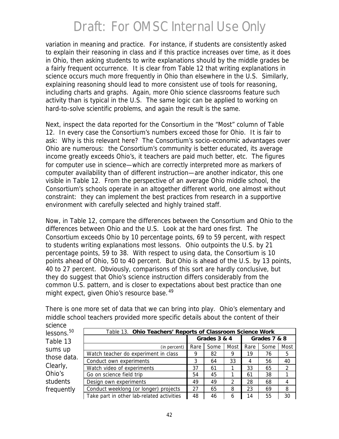variation in meaning and practice. For instance, if students are consistently asked to explain their reasoning in class and if this practice increases over time, as it does in Ohio, then asking students to write explanations should by the middle grades be a fairly frequent occurrence. It is clear from Table 12 that writing explanations in science occurs much more frequently in Ohio than elsewhere in the U.S. Similarly, explaining reasoning should lead to more consistent use of tools for reasoning, including charts and graphs. Again, more Ohio science classrooms feature such activity than is typical in the U.S. The same logic can be applied to working on hard-to-solve scientific problems, and again the result is the same.

Next, inspect the data reported for the Consortium in the "Most" column of Table 12. In every case the Consortium's numbers exceed those for Ohio. It is fair to ask: Why is this relevant here? The Consortium's socio-economic advantages over Ohio are numerous: the Consortium's community is better educated, its average income greatly exceeds Ohio's, it teachers are paid much better, etc. The figures for computer use in science—which are correctly interpreted more as markers of computer availability than of different instruction—are another indicator, this one visible in Table 12. From the perspective of an average Ohio middle school, the Consortium's schools operate in an altogether different world, one almost without constraint: they can implement the best practices from research in a supportive environment with carefully selected and highly trained staff.

Now, in Table 12, compare the differences between the Consortium and Ohio to the differences between Ohio and the U.S. Look at the hard ones first. The Consortium exceeds Ohio by 10 percentage points, 69 to 59 percent, with respect to students writing explanations most lessons. Ohio outpoints the U.S. by 21 percentage points, 59 to 38. With respect to using data, the Consortium is 10 points ahead of Ohio, 50 to 40 percent. But Ohio is ahead of the U.S. by 13 points, 40 to 27 percent. Obviously, comparisons of this sort are hardly conclusive, but they do suggest that Ohio's science instruction differs considerably from the common U.S. pattern, and is closer to expectations about best practice than one might expect, given Ohio's resource base.<sup>49</sup>

| science                                                                          |                                                            |      |              |      |              |      |               |  |  |  |
|----------------------------------------------------------------------------------|------------------------------------------------------------|------|--------------|------|--------------|------|---------------|--|--|--|
| lessons. <sup>50</sup>                                                           | Table 13. Ohio Teachers' Reports of Classroom Science Work |      |              |      |              |      |               |  |  |  |
| Table 13                                                                         |                                                            |      | Grades 3 & 4 |      | Grades 7 & 8 |      |               |  |  |  |
| sums up                                                                          | (in percent)                                               | Rare | Some         | Most | Rare         | Some | Most          |  |  |  |
| those data.<br>Conduct own experiments<br>Clearly,<br>Watch video of experiments | Watch teacher do experiment in class                       | 9    | 82           | 9    | 19           | 76   | 5             |  |  |  |
|                                                                                  |                                                            | 3    | 64           | 33   | 4            | 56   | 40            |  |  |  |
|                                                                                  |                                                            | 37   | 61           |      | 33           | 65   | $\mathcal{L}$ |  |  |  |
| Ohio's                                                                           | Go on science field trip                                   | 54   | 45           |      | 61           | 38   |               |  |  |  |
| students                                                                         | Design own experiments                                     | 49   | 49           | 2    | 28           | 68   |               |  |  |  |
| frequently                                                                       | Conduct weeklong (or longer) projects                      | 27   | 65           | 8    | 23           | 69   | 8             |  |  |  |
|                                                                                  | Take part in other lab-related activities                  | 48   | 46           | 6    | 14           | 55   | 30            |  |  |  |

There is one more set of data that we can bring into play. Ohio's elementary and middle school teachers provided more specific details about the content of their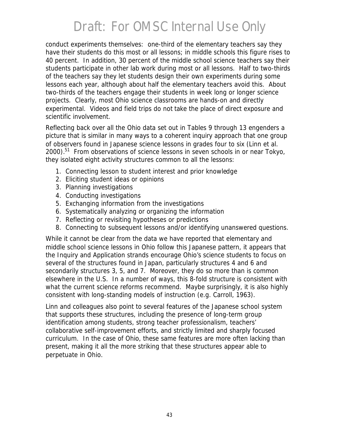conduct experiments themselves: one-third of the elementary teachers say they have their students do this most or all lessons; in middle schools this figure rises to 40 percent. In addition, 30 percent of the middle school science teachers say their students participate in other lab work during most or all lessons. Half to two-thirds of the teachers say they let students design their own experiments during some lessons each year, although about half the elementary teachers avoid this. About two-thirds of the teachers engage their students in week long or longer science projects. Clearly, most Ohio science classrooms are hands-on and directly experimental. Videos and field trips do not take the place of direct exposure and scientific involvement.

Reflecting back over all the Ohio data set out in Tables 9 through 13 engenders a picture that is similar in many ways to a coherent inquiry approach that one group of observers found in Japanese science lessons in grades four to six (Linn et al.  $2000$ ).<sup>51</sup> From observations of science lessons in seven schools in or near Tokyo, they isolated eight activity structures common to all the lessons:

- 1. Connecting lesson to student interest and prior knowledge
- 2. Eliciting student ideas or opinions
- 3. Planning investigations
- 4. Conducting investigations
- 5. Exchanging information from the investigations
- 6. Systematically analyzing or organizing the information
- 7. Reflecting or revisiting hypotheses or predictions
- 8. Connecting to subsequent lessons and/or identifying unanswered questions.

While it cannot be clear from the data we have reported that elementary and middle school science lessons in Ohio follow this Japanese pattern, it appears that the Inquiry and Application strands encourage Ohio's science students to focus on several of the structures found in Japan, particularly structures 4 and 6 and secondarily structures 3, 5, and 7. Moreover, they do so more than is common elsewhere in the U.S. In a number of ways, this 8-fold structure is consistent with what the current science reforms recommend. Maybe surprisingly, it is also highly consistent with long-standing models of instruction (e.g. Carroll, 1963).

Linn and colleagues also point to several features of the Japanese school system that supports these structures, including the presence of long-term group identification among students, strong teacher professionalism, teachers' collaborative self-improvement efforts, and strictly limited and sharply focused curriculum. In the case of Ohio, these same features are more often lacking than present, making it all the more striking that these structures appear able to perpetuate in Ohio.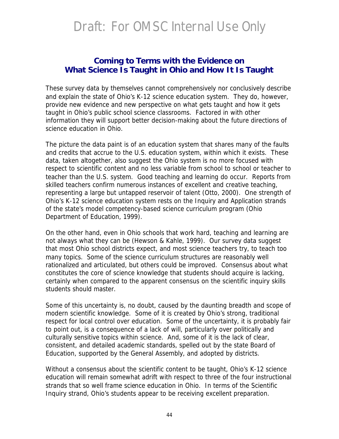#### **Coming to Terms with the Evidence on What Science Is Taught in Ohio and How It Is Taught**

These survey data by themselves cannot comprehensively nor conclusively describe and explain the state of Ohio's K-12 science education system. They do, however, provide new evidence and new perspective on what gets taught and how it gets taught in Ohio's public school science classrooms. Factored in with other information they will support better decision-making about the future directions of science education in Ohio.

The picture the data paint is of an education system that shares many of the faults and credits that accrue to the U.S. education system, within which it exists. These data, taken altogether, also suggest the Ohio system is no more focused with respect to scientific content and no less variable from school to school or teacher to teacher than the U.S. system. Good teaching and learning do occur. Reports from skilled teachers confirm numerous instances of excellent and creative teaching, representing a large but untapped reservoir of talent (Otto, 2000). One strength of Ohio's K-12 science education system rests on the Inquiry and Application strands of the state's model competency-based science curriculum program (Ohio Department of Education, 1999).

On the other hand, even in Ohio schools that work hard, teaching and learning are not always what they can be (Hewson & Kahle, 1999). Our survey data suggest that most Ohio school districts expect, and most science teachers try, to teach too many topics. Some of the science curriculum structures are reasonably well rationalized and articulated, but others could be improved. Consensus about what constitutes the core of science knowledge that students should acquire is lacking, certainly when compared to the apparent consensus on the scientific inquiry skills students should master.

Some of this uncertainty is, no doubt, caused by the daunting breadth and scope of modern scientific knowledge. Some of it is created by Ohio's strong, traditional respect for local control over education. Some of the uncertainty, it is probably fair to point out, is a consequence of a lack of will, particularly over politically and culturally sensitive topics within science. And, some of it is the lack of clear, consistent, and detailed academic standards, spelled out by the state Board of Education, supported by the General Assembly, and adopted by districts.

Without a consensus about the scientific content to be taught, Ohio's K-12 science education will remain somewhat adrift with respect to three of the four instructional strands that so well frame science education in Ohio. In terms of the Scientific Inquiry strand, Ohio's students appear to be receiving excellent preparation.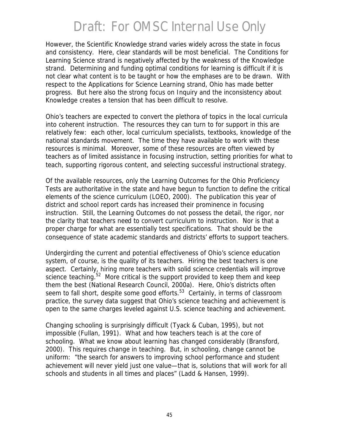However, the Scientific Knowledge strand varies widely across the state in focus and consistency. Here, clear standards will be most beneficial. The Conditions for Learning Science strand is negatively affected by the weakness of the Knowledge strand. Determining and funding optimal conditions for learning is difficult if it is not clear what content is to be taught or how the emphases are to be drawn. With respect to the Applications for Science Learning strand, Ohio has made better progress. But here also the strong focus on Inquiry and the inconsistency about Knowledge creates a tension that has been difficult to resolve.

Ohio's teachers are expected to convert the plethora of topics in the local curricula into coherent instruction. The resources they can turn to for support in this are relatively few: each other, local curriculum specialists, textbooks, knowledge of the national standards movement. The time they have available to work with these resources is minimal. Moreover, some of these resources are often viewed by teachers as of limited assistance in focusing instruction, setting priorities for what to teach, supporting rigorous content, and selecting successful instructional strategy.

Of the available resources, only the Learning Outcomes for the Ohio Proficiency Tests are authoritative in the state and have begun to function to define the critical elements of the science curriculum (LOEO, 2000). The publication this year of district and school report cards has increased their prominence in focusing instruction. Still, the Learning Outcomes do not possess the detail, the rigor, nor the clarity that teachers need to convert curriculum to instruction. Nor is that a proper charge for what are essentially test specifications. That should be the consequence of state academic standards and districts' efforts to support teachers.

Undergirding the current and potential effectiveness of Ohio's science education system, of course, is the quality of its teachers. Hiring the best teachers is one aspect. Certainly, hiring more teachers with solid science credentials will improve science teaching. $52$  More critical is the support provided to keep them and keep them the best (National Research Council, 2000*a*). Here, Ohio's districts often seem to fall short, despite some good efforts.<sup>53</sup> Certainly, in terms of classroom practice, the survey data suggest that Ohio's science teaching and achievement is open to the same charges leveled against U.S. science teaching and achievement.

Changing schooling is surprisingly difficult (Tyack & Cuban, 1995), but not impossible (Fullan, 1991). What and how teachers teach is at the core of schooling. What we know about learning has changed considerably (Bransford, 2000). This requires change in teaching. But, in schooling, change cannot be uniform: "the search for answers to improving school performance and student achievement will never yield just one value—that is, solutions that will work for all schools and students in all times and places" (Ladd & Hansen, 1999).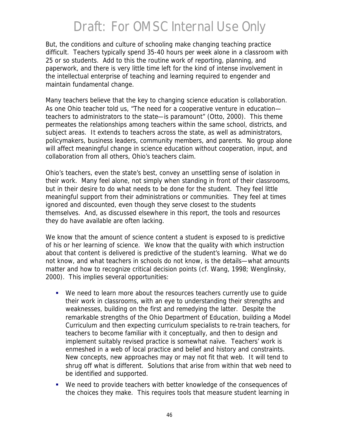But, the conditions and culture of schooling make changing teaching practice difficult. Teachers typically spend 35-40 hours per week alone in a classroom with 25 or so students. Add to this the routine work of reporting, planning, and paperwork, and there is very little time left for the kind of intense involvement in the intellectual enterprise of teaching and learning required to engender and maintain fundamental change.

Many teachers believe that the key to changing science education is *collaboration*. As one Ohio teacher told us, "The need for a cooperative venture in education teachers to administrators to the state—is paramount" (Otto, 2000). This theme permeates the relationships among teachers within the same school, districts, and subject areas. It extends to teachers across the state, as well as administrators, policymakers, business leaders, community members, and parents. No group alone will affect meaningful change in science education without cooperation, input, and collaboration from all others, Ohio's teachers claim.

Ohio's teachers, even the state's best, convey an unsettling sense of isolation in their work. Many feel alone, not simply when standing in front of their classrooms, but in their desire to do what needs to be done for the student. They feel little meaningful support from their administrations or communities. They feel at times ignored and discounted, even though they serve closest to the students themselves. And, as discussed elsewhere in this report, the tools and resources they do have available are often lacking.

We know that the amount of science content a student is exposed to is predictive of his or her learning of science. We know that the quality with which instruction about that content is delivered is predictive of the student's learning. What we do not know, and what teachers in schools do not know, is the details—what amounts matter and how to recognize critical decision points (cf. Wang, 1998; Wenglinsky, 2000). This implies several opportunities:

- We need to learn more about the resources teachers currently use to quide their work in classrooms, with an eye to understanding their strengths and weaknesses, building on the first and remedying the latter. Despite the remarkable strengths of the Ohio Department of Education, building a Model Curriculum and then expecting curriculum specialists to re-train teachers, for teachers to become familiar with it conceptually, and then to design and implement suitably revised practice is somewhat naïve. Teachers' work is enmeshed in a web of local practice and belief and history and constraints. New concepts, new approaches may or may not fit that web. It will tend to shrug off what is different. Solutions that arise from within that web need to be identified and supported.
- ß We need to provide teachers with better knowledge of the consequences of the choices they make. This requires tools that measure student learning in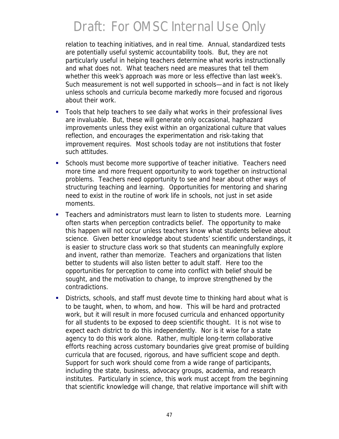relation to teaching initiatives, and in real time. Annual, standardized tests are potentially useful systemic accountability tools. But, they are not particularly useful in helping teachers determine what works instructionally and what does not. What teachers need are measures that tell them whether this week's approach was more or less effective than last week's. Such measurement is not well supported in schools—and in fact is not likely unless schools and curricula become markedly more focused and rigorous about their work.

- **Tools that help teachers to see daily what works in their professional lives** are invaluable. But, these will generate only occasional, haphazard improvements unless they exist within an organizational culture that values reflection, and encourages the experimentation and risk-taking that improvement requires. Most schools today are not institutions that foster such attitudes.
- **Schools must become more supportive of teacher initiative. Teachers need** more time and more frequent opportunity to work together on instructional problems. Teachers need opportunity to see and hear about other ways of structuring teaching and learning. Opportunities for mentoring and sharing need to exist in the routine of work life in schools, not just in set aside moments.
- **F** Teachers and administrators must learn to listen to students more. Learning often starts when perception contradicts belief. The opportunity to make this happen will not occur unless teachers know what students believe about science. Given better knowledge about students' scientific understandings, it is easier to structure class work so that students can meaningfully explore and invent, rather than memorize. Teachers and organizations that listen better to students will also listen better to adult staff. Here too the opportunities for perception to come into conflict with belief should be sought, and the motivation to change, to improve strengthened by the contradictions.
- **Districts, schools, and staff must devote time to thinking hard about what is** to be taught, when, to whom, and how. This will be hard and protracted work, but it will result in more focused curricula and enhanced opportunity for all students to be exposed to deep scientific thought. It is not wise to expect each district to do this independently. Nor is it wise for a state agency to do this work alone. Rather, multiple long-term collaborative efforts reaching across customary boundaries give great promise of building curricula that are focused, rigorous, and have sufficient scope and depth. Support for such work should come from a wide range of participants, including the state, business, advocacy groups, academia, and research institutes. Particularly in science, this work must accept from the beginning that scientific knowledge will change, that relative importance will shift with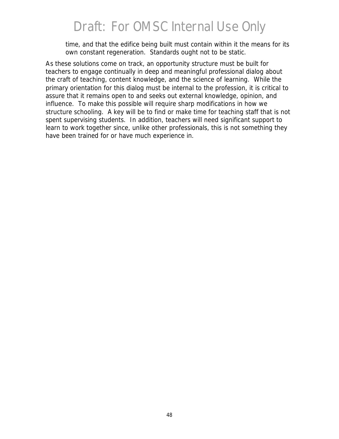time, and that the edifice being built must contain within it the means for its own constant regeneration. Standards ought not to be static.

As these solutions come on track, an opportunity structure must be built for teachers to engage continually in deep and meaningful professional dialog about the craft of teaching, content knowledge, and the science of learning. While the primary orientation for this dialog must be internal to the profession, it is critical to assure that it remains open to and seeks out external knowledge, opinion, and influence. To make this possible will require sharp modifications in how we structure schooling. A key will be to find or make time for teaching staff that is not spent supervising students. In addition, teachers will need significant support to learn to work together since, unlike other professionals, this is not something they have been trained for or have much experience in.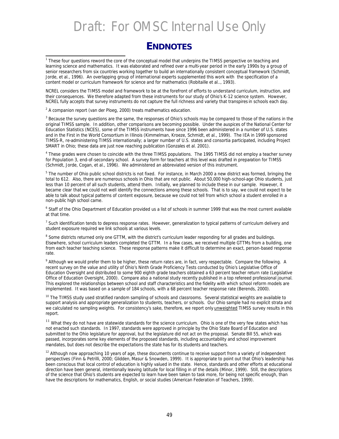#### **ENDNOTES**

NCREL considers the TIMSS model and framework to be at the forefront of efforts to understand curriculum, instruction, and their consequences. We therefore adapted from these instruments for our study of Ohio's K-12 science system. However, NCREL fully accepts that survey instruments do not capture the full richness and variety that transpires in schools each day.

 $2$  A companion report (van der Ploeg, 2000) treats mathematics education.

<sup>3</sup> Because the survey questions are the same, the responses of Ohio's schools may be compared to those of the nations in the original TIMSS sample. In addition, other comparisons are becoming possible. Under the auspices of the National Center for Education Statistics (NCES), some of the TIMSS instruments have since 1996 been administered in a number of U.S. states and in the First in the World Consortium in Illinois (Kimmelman, Kroeze, Schmidt, et al., 1999). The IEA in 1999 sponsored TIMSS-R, re-administering TIMSS internationally; a larger number of U.S. states and consortia participated, including Project SMART in Ohio; these data are just now reaching publication (Gonzales et al. 2001).

<sup>4</sup> These grades were chosen to coincide with the three TIMSS populations. The 1995 TIMSS did not employ a teacher survey for Population 3, end-of-secondary school. A survey form for teachers at this level was drafted in preparation for TIMSS (Schmidt, Jorde, Cogan, et al., 1996). We administered an abbreviated version of this instrument.

<sup>5</sup> The number of Ohio public school districts is not fixed. For instance, in March 2000 a new district was formed, bringing the total to 612. Also, there are numerous schools in Ohio that are not public. About 50,000 high-school-age Ohio students, just less than 10 percent of all such students, attend them. Initially, we planned to include these in our sample. However, it became clear that we could not well identify the connections among these schools. That is to say, we could not expect to be able to talk about typical patterns of content exposure, because we could not tell from which school a student enrolled in a non-public high school came.

<sup>6</sup> Staff of the Ohio Department of Education provided us a list of schools in summer 1999 that was the most current available at that time.

<sup>7</sup> Such identification tends to depress response rates. However, generalization to typical patterns of curriculum delivery and student exposure required we link schools at various levels.

<sup>8</sup> Some districts returned only one GTTM, with the district's curriculum leader responding for all grades and buildings. Elsewhere, school curriculum leaders completed the GTTM. In a few cases, we received multiple GTTMs from a building, one from each teacher teaching science. These response patterns make it difficult to determine an exact, person-based response rate.

<sup>9</sup> Although we would prefer them to be higher, these return rates are, in fact, very respectable. Compare the following. A recent survey on the value and utility of Ohio's Ninth Grade Proficiency Tests conducted by Ohio's Legislative Office of Education Oversight and distributed to some 900 eighth grade teachers obtained a 63 percent teacher return rate (Legislative Office of Education Oversight, 2000). Compare also a national study recently published in a top refereed professional journal. This explored the relationships between school and staff characteristics and the fidelity with which school reform models are implemented. It was based on a sample of 184 schools, with a 68 percent teacher response rate (Berends, 2000).

<sup>10</sup> The TIMSS study used stratified random sampling of schools and classrooms. Several statistical weights are available to support analysis and appropriate generalization to students, teachers, or schools. Our Ohio sample had no explicit strata and we calculated no sampling weights. For consistency's sake, therefore, we report only **unweighted** TIMSS survey results in this report.

<sup>11</sup> What they do not have are statewide standards for the science curriculum. Ohio is one of the very few states which has not enacted such standards. In 1997, standards were approved in principle by the Ohio State Board of Education and submitted to the Ohio legislature for approval, but the legislature did not act on the proposal. Senate Bill 55, which was passed, incorporates some key elements of the proposed standards, including accountability and school improvement mandates, but does not describe the expectations the state has for its students and teachers.

<sup>12</sup> Although now approaching 10 years of age, these documents continue to receive support from a variety of independent perspectives (Finn & Petrilli, 2000; Glidden, Masur & Snowden, 1999). It is appropriate to point out that Ohio's leadership has been conscious that local control of education is highly valued in the state. Hence, standards and other efforts at educational direction have been general, intentionally leaving latitude for local filling in of the details (Minor, 1999). Still, the descriptions of the science that Ohio's students are expected to learn have been taken to task more, for being not specific enough, than have the descriptions for mathematics, English, or social studies (American Federation of Teachers, 1999).

<sup>1&</sup>lt;br>These four questions reword the core of the conceptual model that underpins the TIMSS perspective on teaching and learning science and mathematics. It was elaborated and refined over a multi-year period in the early 1990s by a group of senior researchers from six countries working together to build an internationally consistent conceptual framework (Schmidt, Jorde, et al., 1996). An overlapping group of international experts supplemented this work with the specification of a content model or curriculum framework for science and for mathematics (Robitaille et al.., 1993).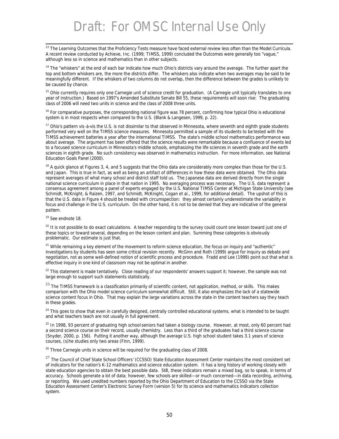l <sup>13</sup> The Learning Outcomes that the Proficiency Tests measure have faced external review less often than the Model Curricula. A recent review conducted by Achieve, Inc. (1999; TIMSS, 1999) concluded the Outcomes were generally too "vague," although less so in science and mathematics than in other subjects.

<sup>14</sup> The "whiskers" at the end of each bar indicate how much Ohio's districts vary around the average. The further apart the top and bottom whiskers are, the more the districts differ. The whiskers also indicate when two averages may be said to be meaningfully different. If the whiskers of two columns do not overlap, then the difference between the grades is unlikely to be caused by chance.

<sup>15</sup> Ohio currently requires only one Carnegie unit of science credit for graduation. (A Carnegie unit typically translates to one year of instruction.) Based on 1997's Amended Substitute Senate Bill 55, these requirements will soon rise: The graduating class of 2006 will need two units in science and the class of 2008 three units.

<sup>16</sup> For comparative purposes, the corresponding national figure was 78 percent, confirming how typical Ohio is educational system is in most respects when compared to the U.S. (Blank & Langesen, 1999, p. 22).

<sup>17</sup> Ohio's pattern vis-à-vis the U.S. is not dissimilar to that observed in Minnesota, where seventh and eighth grade students performed very well on the TIMSS science measures. Minnesota permitted a sample of its students to be tested with the TIMSS achievement batteries a year after the international TIMSS. The state's middle school mathematics performance was about average. The argument has been offered that the science results were remarkable because a confluence of events led to a focused science curriculum in Minnesota's middle schools, emphasizing the life sciences in seventh grade and the earth sciences in eighth grade. No such consistency was observed in mathematics instruction. For more information, see National Education Goals Panel (2000).

 $18$  A quick glance at Figures 3, 4, and 5 suggests that the Ohio data are considerably more complex than those for the U.S. and Japan. This is true in fact, as well as being an artifact of differences in how these data were obtained. The Ohio data represent averages of what many school and district staff told us. The Japanese data are derived directly from the single national science curriculum in place in that nation in 1995. No averaging process was necessary. The U.S. data represent a consensus agreement among a panel of experts engaged by the U.S. National TIMSS Center at Michigan State University (see Schmidt, McKnight, & Raizen, 1997, and Schmidt, McKnight, Cogan et al., 1999, for additional detail). The upshot of this is that the U.S. data in Figure 4 should be treated with circumspection: they almost certainly underestimate the variability in focus and challenge in the U.S. curriculum. On the other hand, it is not to be denied that they are indicative of the general pattern.

<sup>19</sup> See endnote 18.

<sup>20</sup> It is not possible to do exact calculations. A teacher responding to the survey could count one lesson toward just one of these topics or toward several, depending on the lesson content and plan. Summing these categories is obviously problematic. Our estimate is just that.

 $21$  While remaining a key element of the movement to reform science education, the focus on inquiry and "authentic" investigations by students has seen some critical revision recently. McGinn and Roth (1999) argue for inquiry as debate and negotiation, not as some well-defined notion of scientific process and procedure. Fradd and Lee (1999) point out that what is effective inquiry in one kind of classroom may not be optimal in another.

<sup>22</sup> This statement is made tentatively. Close reading of our respondents' answers support it; however, the sample was not large enough to support such statements statistically.

<sup>23</sup> The TIMSS framework is a classification primarily of scientific content, not application, method, or skills. This makes comparison with the Ohio model science curriculum somewhat difficult. Still, it also emphasizes the lack of a statewide science content focus in Ohio. That may explain the large variations across the state in the content teachers say they teach in these grades.

<sup>24</sup> This goes to show that even in carefully designed, centrally controlled educational systems, what is intended to be taught and what teachers teach are not usually in full agreement.

<sup>25</sup> In 1998, 93 percent of graduating high school seniors had taken a biology course. However, at most, only 60 percent had a second science course on their record, usually chemistry. Less than a third of the graduates had a third science course (Snyder, 2000, p. 156). Putting it another way, although the average U.S. high school student takes 3.1 years of science courses, (s)he studies only two areas (Finn, 1999).

<sup>26</sup> Three Carnegie units in science will be required for the graduating class of 2008.

<sup>27</sup> The Council of Chief State School Officers' (CCSSO) State Education Assessment Center maintains the most consistent set of indicators for the nation's K-12 mathematics and science education system. It has a long history of working closely with state education agencies to obtain the best possible data. Still, these indicators remain a mixed bag, so to speak, in terms of accuracy. Schools generate a lot of data; however, few schools are skilled—or much concerned—in data recording, archiving, or reporting. We used unedited numbers reported by the Ohio Department of Education to the CCSSO via the State Education Assessment Center's Electronic Survey Form (version 5) for its science and mathematics indicators collection system.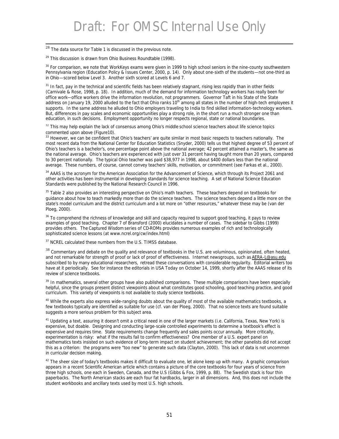$^{28}$  The data source for Table 1 is discussed in the previous note.

l

 $29$  This discussion is drawn from Ohio Business Roundtable (1998).

<sup>30</sup> For comparison, we note that *WorkKeys* exams were given in 1999 to high school seniors in the nine-county southwestern Pennsylvania region (Education Policy & Issues Center, 2000, p. 14). Only about one-sixth of the students—not one-third as in Ohio—scored below Level 3. Another sixth scored at Levels 6 and 7.

<sup>31</sup> In fact, pay in the technical and scientific fields has been relatively stagnant, rising less rapidly than in other fields (Carnivale & Rose, 1998, p. 18). In addition, much of the demand for information technology workers has really been for office work—office workers drive the information revolution, not programmers. Governor Taft in his State of the State address on January 19, 2000 alluded to the fact that Ohio ranks 10<sup>th</sup> among all states in the number of high-tech employees it supports. In the same address he alluded to Ohio employers traveling to India to find skilled information-technology workers. But, differences in pay scales and economic opportunities play a strong role, in the short run a much stronger one than education, in such decisions. Employment opportunity no longer respects regional, state or national boundaries.

<sup>32</sup> This may help explain the lack of consensus among Ohio's middle school science teachers about life science topics commented upon above (Figure10).

<sup>33</sup> However, we can be confident that Ohio's teachers' are quite similar in most basic respects to teachers nationally. The most recent data from the National Center for Education Statistics (Snyder, 2000) tells us that highest degree of 53 percent of Ohio's teachers is a bachelor's, one percentage point above the national average; 42 percent attained a master's, the same as the national average. Ohio's teachers are experienced with just over 31 percent having taught more than 20 years, compared to 30 percent nationally. The typical Ohio teacher was paid \$38,977 in 1998, about \$400 dollars less than the national average. These numbers, of course, cannot convey teachers' skills, motivation, or commitment (see Farkas et al., 2000).

<sup>34</sup> AAAS is the acronym for the American Association for the Advancement of Science, which through its Project 2061 and other activities has been instrumental in developing standards for science teaching. A set of *National Science Education Standards* were published by the National Research Council in 1996.

<sup>35</sup> Table 2 also provides an interesting perspective on Ohio's math teachers. These teachers depend on textbooks for guidance about how to teach markedly more than do the science teachers. The science teachers depend a little more on the state's model curriculum and the district curriculum and a lot more on "other resources," whatever these may be (van der Ploeg, 2000).

<sup>36</sup> To comprehend the richness of knowledge and skill and capacity required to support good teaching, it pays to review examples of good teaching. Chapter 7 of Bransford (2000) elucidates a number of cases. The sidebar to Gibbs (1999) provides others. The *Captured Wisdom* series of CD-ROMs provides numerous examples of rich and technologically sophisticated science lessons (at www.ncrel.org/cw/index.html)

<sup>37</sup> NCREL calculated these numbers from the U.S. TIMSS database.

<sup>38</sup> Commentary and debate on the quality and relevance of textbooks in the U.S. are voluminous, opinionated, often heated, and not remarkable for strength of proof or lack of proof of effectiveness. Internet newsgroups, such as AERA-L@asu.edu subscribed to by many educational researchers, retread these conversations with considerable regularity. Editorial writers too have at it periodically. See for instance the editorials in *USA Today* on October 14, 1999, shortly after the AAAS release of its review of science textbooks.

<sup>39</sup> In mathematics, several other groups have also published comparisons. These multiple comparisons have been especially helpful, since the groups present distinct viewpoints about what constitutes good schooling, good teaching practice, and good curriculum. This variety of viewpoints is not available to study science textbooks.

<sup>40</sup> While the experts also express wide-ranging doubts about the quality of most of the available mathematics textbooks, a few textbooks typically are identified as suitable for use (cf. van der Ploeg, 2000). That no science texts are found suitable suggests a more serious problem for this subject area.

<sup>41</sup> Updating a text, assuring it doesn't omit a critical need in one of the larger markets (i.e. California, Texas, New York) is expensive, but doable. Designing and conducting large-scale controlled experiments to determine a textbook's effect is expensive and requires time. State requirements change frequently and sales points occur annually. More critically, experimentation is risky: what if the results fail to confirm effectiveness? One member of a U.S. expert panel on mathematics texts insisted on such evidence of long-term impact on student achievement; the other panelists did not accept this as a criterion: the programs were "too new" to generate such data (Clayton, 2000). This lack of data is not uncommon in curricular decision making.

 $42$  The sheer size of today's textbooks makes it difficult to evaluate one, let alone keep up with many. A graphic comparison appears in a recent *Scientific American* article which contains a picture of the core textbooks for four years of science from three high schools, one each in Sweden, Canada, and the U.S (Gibbs & Fox, 1999, p. 88). The Swedish stack is four thin paperbacks. The North American stacks are each four fat hardbacks, larger in all dimensions. And, this does not include the student workbooks and ancillary texts used by most U.S. high schools.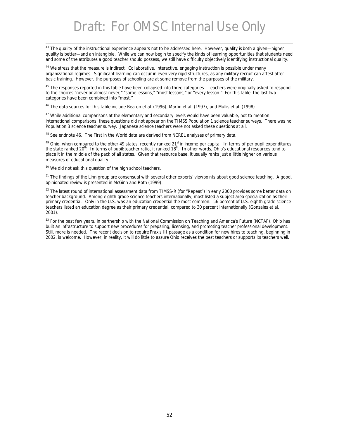l <sup>43</sup> The *quality* of the instructional experience appears not to be addressed here. However, quality is both a given—higher quality is better—and an intangible. While we can now begin to specify the kinds of learning opportunities that students need and some of the attributes a good teacher should possess, we still have difficulty objectively identifying instructional quality.

<sup>44</sup> We stress that the measure is indirect. Collaborative, interactive, engaging instruction is possible under many organizational regimes. Significant learning can occur in even very rigid structures, as any military recruit can attest after basic training. However, the purposes of schooling are at some remove from the purposes of the military.

<sup>45</sup> The responses reported in this table have been collapsed into three categories. Teachers were originally asked to respond to the choices "never or almost never," "some lessons," "most lessons," or "every lesson." For this table, the last two categories have been combined into "most."

<sup>46</sup> The data sources for this table include Beaton et al. (1996), Martin et al. (1997), and Mullis et al. (1998).

<sup>47</sup> While additional comparisons at the elementary and secondary levels would have been valuable, not to mention international comparisons, these questions did not appear on the TIMSS Population 1 science teacher surveys. There was no Population 3 science teacher survey. Japanese science teachers were not asked these questions at all.

<sup>48</sup> See endnote 46. The First in the World data are derived from NCREL analyses of primary data.

<sup>49</sup> Ohio, when compared to the other 49 states, recently ranked 21<sup>st</sup> in income per capita. In terms of per pupil expenditures the state ranked 20<sup>th</sup>. In terms of pupil: teacher ratio, it ranked 18<sup>th</sup>. In other words, Ohio's educational resources tend to place it in the middle of the pack of all states. Given that resource base, it usually ranks just a little higher on various measures of educational quality.

<sup>50</sup> We did not ask this question of the high school teachers.

<sup>51</sup> The findings of the Linn group are consensual with several other experts' viewpoints about good science teaching. A good, opinionated review is presented in McGinn and Roth (1999).

<sup>52</sup> The latest round of international assessment data from TIMSS-R (for "Repeat") in early 2000 provides some better data on teacher background. Among eighth grade science teachers internationally, most listed a subject area specialization as their primary credential. Only in the U.S. was an education credential the most common: 56 percent of U.S. eighth grade science teachers listed an education degree as their primary credential, compared to 30 percent internationally (Gonzales et al., 2001).

<sup>53</sup> For the past few years, in partnership with the National Commission on Teaching and America's Future (NCTAF), Ohio has built an infrastructure to support new procedures for preparing, licensing, and promoting teacher professional development. Still, more is needed. The recent decision to require *Praxis III* passage as a condition for new hires to teaching, beginning in 2002, is welcome. However, in reality, it will do little to assure Ohio receives the best teachers or supports its teachers well.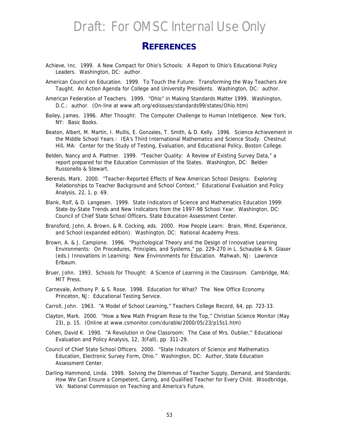#### **REFERENCES**

- Achieve, Inc. 1999. *A New Compact for Ohio's Schools: A Report to Ohio's Educational Policy Leaders*. Washington, DC: author.
- American Council on Education. 1999. *To Touch the Future: Transforming the Way Teachers Are Taught. An Action Agenda for College and University Presidents.* Washington, DC: author.
- American Federation of Teachers. 1999. "Ohio" in *Making Standards Matter 1999*. Washington, D.C.: author. (On-line at www.aft.org/edissues/standards99/states/Ohio.htm)
- Bailey, James. 1996. *After Thought: The Computer Challenge to Human Intelligence*. New York, NY: Basic Books.
- Beaton, Albert, M. Martin, I. Mullis, E. Gonzales, T. Smith, & D. Kelly. 1996. *Science Achievement in the Middle School Years : IEA's Third International Mathematics and Science Study*. Chestnut Hill, MA: Center for the Study of Testing, Evaluation, and Educational Policy, Boston College.
- Belden, Nancy and A. Plattner. 1999. "Teacher Quality: A Review of Existing Survey Data," a report prepared for the Education Commission of the States. Washington, DC: Belden Russonello & Stewart.
- Berends, Mark. 2000. "Teacher-Reported Effects of New American School Designs: Exploring Relationships to Teacher Background and School Context." *Educational Evaluation and Policy Analysis, 22*, 1, p. 69.
- Blank, Rolf, & D. Langesen. 1999. *State Indicators of Science and Mathematics Education 1999: State-by-State Trends and New Indicators from the 1997-98 School Year*. Washington, DC: Council of Chief State School Officers, State Education Assessment Center.
- Bransford, John, A. Brown, & R. Cocking, eds. 2000. *How People Learn: Brain, Mind, Experience, and School* (expanded edition). Washington, DC: National Academy Press.
- Brown, A. & J. Campione. 1996. "Psychological Theory and the Design of Innovative Learning Environments: On Procedures, Principles, and Systems," pp. 229-270 in L. Schauble & R. Glaser (eds.) *Innovations in Learning: New Environments for Education*. Mahwah, NJ: Lawrence Erlbaum.
- Bruer, John. 1993. *Schools for Thought: A Science of Learning in the Classroom*. Cambridge, MA: MIT Press.
- Carnevale, Anthony P. & S. Rose. 1998. *Education for What? The New Office Economy*. Princeton, NJ: Educational Testing Service.
- Carroll, John. 1963. "A Model of School Learning," *Teachers College Record, 64*, pp. 723-33.
- Clayton, Mark. 2000. "How a New Math Program Rose to the Top," *Christian Science Monitor* (May 23), p. 15. (Online at www.csmonitor.com/durable/2000/05/23/p15s1.htm)
- Cohen, David K. 1990. "A Revolution in One Classroom: The Case of Mrs. Oublier," *Educational Evaluation and Policy Analysis, 12*, 3(Fall), pp. 311-29.
- Council of Chief State School Officers. 2000. "State Indicators of Science and Mathematics Education, Electronic Survey Form, Ohio." Washington, DC: Author, State Education Assessment Center.
- Darling-Hammond, Linda. 1999. *Solving the Dilemmas of Teacher Supply, Demand, and Standards:*  How We Can Ensure a Competent, Caring, and Qualified Teacher for Every Child. Woodbridge, VA: National Commission on Teaching and America's Future.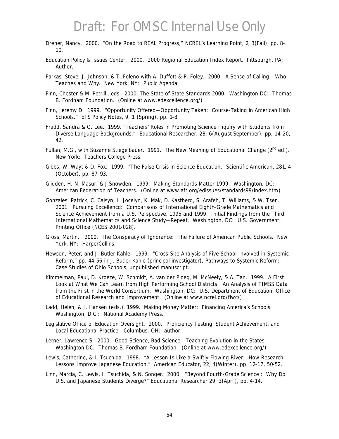- Dreher, Nancy. 2000. "On the Road to REAL Progress," *NCREL's Learning Point, 2*, 3(Fall), pp. 8-. 10.
- Education Policy & Issues Center. 2000. *2000 Regional Education Index Report*. Pittsburgh, PA: Author.
- Farkas, Steve, J. Johnson, & T. Foleno with A. Duffett & P. Foley. 2000. *A Sense of Calling: Who Teaches and Why*. New York, NY: Public Agenda.
- Finn, Chester & M. Petrilli, eds. 2000. *The State of State Standards 2000*. Washington DC: Thomas B. Fordham Foundation. (Online at www.edexcellence.org/)
- Finn, Jeremy D. 1999. "Opportunity Offered—Opportunity Taken: Course-Taking in American High Schools." *ETS Policy Notes, 9*, 1 (Spring), pp. 1-8.
- Fradd, Sandra & O. Lee. 1999. "Teachers' Roles in Promoting Science Inquiry with Students from Diverse Language Backgrounds." *Educational Researcher, 28*, 6(August-September), pp. 14-20, 42.
- Fullan, M.G., with Suzanne Stiegelbauer. 1991. *The New Meaning of Educational Change* (2nd ed.). New York: Teachers College Press.
- Gibbs, W. Wayt & D. Fox. 1999. "The False Crisis in Science Education," *Scientific American, 281*, 4 (October), pp. 87-93.
- Glidden, H, N. Masur, & J.Snowden. 1999. *Making Standards Matter 1999*. Washington, DC: American Federation of Teachers. (Online at www.aft.org/edissues/standards99/index.htm)
- Gonzales, Patrick, C. Calsyn, L. Jocelyn, K. Mak, D. Kastberg, S. Arafeh, T. Williams, & W. Tsen. 2001. *Pursuing Excellencd: Comparisons of International Eighth-Grade Mathematics and Science Achievement from a U.S. Perspective, 1995 and 1999. Initial Findings from the Third International Mathematics and Science Study—Repeat.* Washington, DC: U.S. Government Printing Office (NCES 2001-028).
- Gross, Martin. 2000. *The Conspiracy of Ignorance: The Failure of American Public Schools*. New York, NY: HarperCollins.
- Hewson, Peter, and J. Butler Kahle. 1999. "Cross-Site Analysis of Five School Involved in Systemic Reform," pp. 44-56 in J. Butler Kahle (principal investigator), *Pathways to Systemic Reform: Case Studies of Ohio Schools*, unpublished manuscript.
- Kimmelman, Paul, D. Kroeze, W. Schmidt, A. van der Ploeg, M. McNeely, & A. Tan. 1999. *A First Look at What We Can Learn from High Performing School Districts: An Analysis of TIMSS Data from the First in the World Consortium*. Washington, DC: U.S. Department of Education, Office of Educational Research and Improvement. (Online at www.ncrel.org/fiwc/)
- Ladd, Helen, & J. Hansen (eds.). 1999. *Making Money Matter: Financing America's Schools*. Washington, D.C.: National Academy Press.
- Legislative Office of Education Oversight. 2000. *Proficiency Testing, Student Achievement, and Local Educational Practice*. Columbus, OH: author.
- Lerner, Lawrence S. 2000. *Good Science, Bad Science: Teaching Evolution in the States*. Washington DC: Thomas B. Fordham Foundation. (Online at www.edexcellence.org/)
- Lewis, Catherine, & I. Tsuchida. 1998. "A Lesson Is Like a Swiftly Flowing River: How Research Lessons Improve Japanese Education." *American Educator, 22*, 4(Winter), pp. 12-17, 50-52.
- Linn, Marcia, C. Lewis, I. Tsuchida, & N. Songer. 2000. "Beyond Fourth-Grade Science : Why Do U.S. and Japanese Students Diverge?" *Educational Researcher 29,* 3(April), pp. 4-14.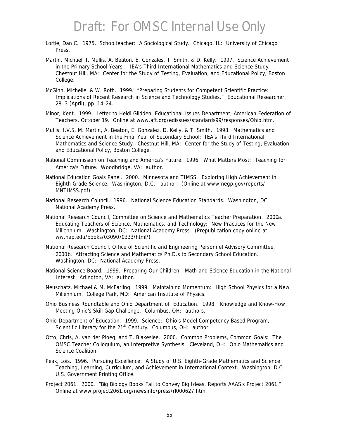- Lortie, Dan C. 1975. *Schoolteacher: A Sociological Study*. Chicago, IL: University of Chicago Press.
- Martin, Michael, I. Mullis, A. Beaton, E. Gonzales, T. Smith, & D. Kelly. 1997. *Science Achievement in the Primary School Years : IEA's Third International Mathematics and Science Study*. Chestnut Hill, MA: Center for the Study of Testing, Evaluation, and Educational Policy, Boston College.
- McGinn, Michelle, & W. Roth. 1999. "Preparing Students for Competent Scientific Practice: Implications of Recent Research in Science and Technology Studies." *Educational Researcher, 28*, 3 (April), pp. 14-24.
- Minor, Kent. 1999. Letter to Heidi Glidden, Educational Issues Department, American Federation of Teachers, October 19. Online at www.aft.org/edissues/standards99/responses/Ohio.htm.
- Mullis, I.V.S, M. Martin, A. Beaton, E. Gonzalez, D. Kelly, & T. Smith. 1998. *Mathematics and Science Achievement in the Final Year of Secondary School: IEA's Third International Mathematics and Science Study*. Chestnut Hill, MA: Center for the Study of Testing, Evaluation, and Educational Policy, Boston College.
- National Commission on Teaching and America's Future. 1996. *What Matters Most: Teaching for America's Future*. Woodbridge, VA: author.
- National Education Goals Panel. 2000. *Minnesota and TIMSS: Exploring High Achievement in Eighth Grade Science*. Washington, D.C.: author. (Online at www.negp.gov/reports/ MNTIMSS.pdf)
- National Research Council. 1996. *National Science Education Standards*. Washington, DC: National Academy Press.
- National Research Council, Committee on Science and Mathematics Teacher Preparation. 2000*a*. *Educating Teachers of Science, Mathematics, and Technology: New Practices for the New Millennium*. Washington, DC: National Academy Press. (Prepublication copy online at ww.nap.edu/books/0309070333/html/)
- National Research Council, Office of Scientific and Engineering Personnel Advisory Committee. 2000*b*. *Attracting Science and Mathematics Ph.D.s to Secondary School Education*. Washington, DC: National Academy Press.
- National Science Board. 1999. *Preparing Our Children: Math and Science Education in the National Interest*. Arlington, VA: author.
- Neuschatz, Michael & M. McFarling. 1999. *Maintaining Momentum: High School Physics for a New Millennium*. College Park, MD: American Institute of Physics.
- Ohio Business Roundtable and Ohio Department of Education. 1998. *Knowledge and Know-How: Meeting Ohio's Skill Gap Challenge*. Columbus, OH: authors.
- Ohio Department of Education. 1999. *Science: Ohio's Model Competency-Based Program, Scientific Literacy for the 21st Century*. Columbus, OH: author.
- Otto, Chris, A. van der Ploeg, and T. Blakeslee. 2000. *Common Problems, Common Goals: The OMSC Teacher Colloquium, an Interpretive Synthesis.* Cleveland, OH: Ohio Mathematics and Science Coalition.
- Peak, Lois. 1996. *Pursuing Excellence: A Study of U.S. Eighth-Grade Mathematics and Science Teaching, Learning, Curriculum, and Achievement in International Context*. Washington, D.C.: U.S. Government Printing Office.
- Project 2061. 2000. "Big Biology Books Fail to Convey Big Ideas, Reports AAAS's Project 2061." Online at www.project2061.org/newsinfo/press/rl000627.htm.